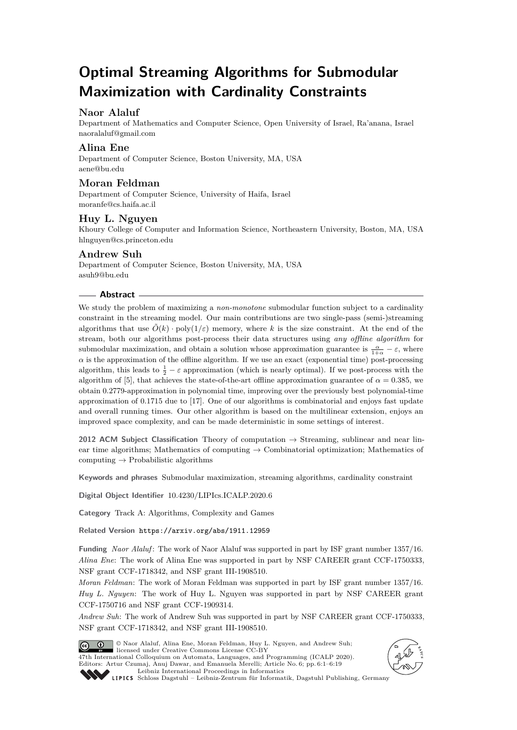# **Optimal Streaming Algorithms for Submodular Maximization with Cardinality Constraints**

# **Naor Alaluf**

Department of Mathematics and Computer Science, Open University of Israel, Ra'anana, Israel [naoralaluf@gmail.com](mailto:naoralaluf@gmail.com)

## **Alina Ene**

Department of Computer Science, Boston University, MA, USA [aene@bu.edu](mailto:aene@bu.edu)

## **Moran Feldman**

Department of Computer Science, University of Haifa, Israel [moranfe@cs.haifa.ac.il](mailto:moranfe@cs.haifa.ac.il)

# **Huy L. Nguyen**

Khoury College of Computer and Information Science, Northeastern University, Boston, MA, USA [hlnguyen@cs.princeton.edu](mailto:hlnguyen@cs.princeton.edu)

### **Andrew Suh**

Department of Computer Science, Boston University, MA, USA [asuh9@bu.edu](mailto:asuh9@bu.edu)

#### **Abstract**

We study the problem of maximizing a *non-monotone* submodular function subject to a cardinality constraint in the streaming model. Our main contributions are two single-pass (semi-)streaming algorithms that use  $\tilde{O}(k) \cdot \text{poly}(1/\varepsilon)$  memory, where k is the size constraint. At the end of the stream, both our algorithms post-process their data structures using *any offline algorithm* for submodular maximization, and obtain a solution whose approximation guarantee is  $\frac{\alpha}{1+\alpha} - \varepsilon$ , where  $\alpha$  is the approximation of the offline algorithm. If we use an exact (exponential time) post-processing algorithm, this leads to  $\frac{1}{2} - \varepsilon$  approximation (which is nearly optimal). If we post-process with the algorithm of [\[5\]](#page-16-0), that achieves the state-of-the-art offline approximation guarantee of  $\alpha = 0.385$ , we obtain 0*.*2779-approximation in polynomial time, improving over the previously best polynomial-time approximation of 0*.*1715 due to [\[17\]](#page-17-0). One of our algorithms is combinatorial and enjoys fast update and overall running times. Our other algorithm is based on the multilinear extension, enjoys an improved space complexity, and can be made deterministic in some settings of interest.

**2012 ACM Subject Classification** Theory of computation → Streaming, sublinear and near linear time algorithms; Mathematics of computing  $\rightarrow$  Combinatorial optimization; Mathematics of computing  $\rightarrow$  Probabilistic algorithms

**Keywords and phrases** Submodular maximization, streaming algorithms, cardinality constraint

**Digital Object Identifier** [10.4230/LIPIcs.ICALP.2020.6](https://doi.org/10.4230/LIPIcs.ICALP.2020.6)

**Category** Track A: Algorithms, Complexity and Games

**Related Version** <https://arxiv.org/abs/1911.12959>

**Funding** *Naor Alaluf* : The work of Naor Alaluf was supported in part by ISF grant number 1357/16. *Alina Ene*: The work of Alina Ene was supported in part by NSF CAREER grant CCF-1750333, NSF grant CCF-1718342, and NSF grant III-1908510.

*Moran Feldman*: The work of Moran Feldman was supported in part by ISF grant number 1357/16. *Huy L. Nguyen*: The work of Huy L. Nguyen was supported in part by NSF CAREER grant CCF-1750716 and NSF grant CCF-1909314.

*Andrew Suh*: The work of Andrew Suh was supported in part by NSF CAREER grant CCF-1750333, NSF grant CCF-1718342, and NSF grant III-1908510.



© Naor Alaluf, Alina Ene, Moran Feldman, Huy L. Nguyen, and Andrew Suh; licensed under Creative Commons License CC-BY 47th International Colloquium on Automata, Languages, and Programming (ICALP 2020). Editors: Artur Czumaj, Anuj Dawar, and Emanuela Merelli; Article No. 6; pp. 6:1–6[:19](#page-18-0) [Leibniz International Proceedings in Informatics](https://www.dagstuhl.de/lipics/)



[Schloss Dagstuhl – Leibniz-Zentrum für Informatik, Dagstuhl Publishing, Germany](https://www.dagstuhl.de)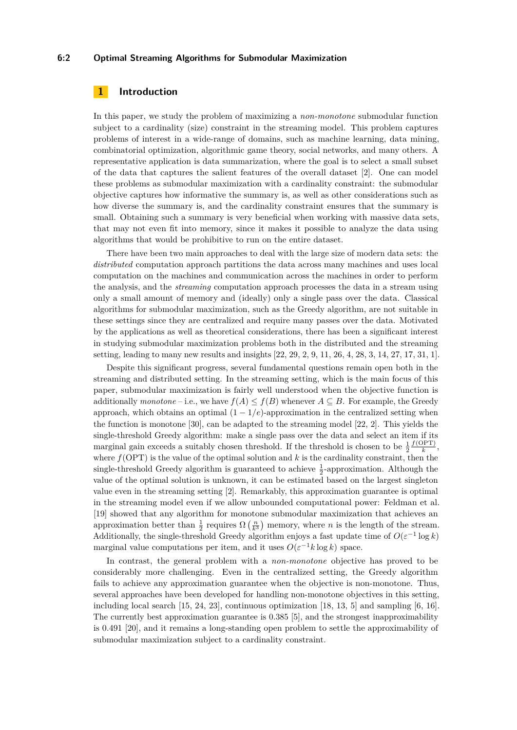#### **6:2 Optimal Streaming Algorithms for Submodular Maximization**

# **1 Introduction**

In this paper, we study the problem of maximizing a *non-monotone* submodular function subject to a cardinality (size) constraint in the streaming model. This problem captures problems of interest in a wide-range of domains, such as machine learning, data mining, combinatorial optimization, algorithmic game theory, social networks, and many others. A representative application is data summarization, where the goal is to select a small subset of the data that captures the salient features of the overall dataset [\[2\]](#page-16-1). One can model these problems as submodular maximization with a cardinality constraint: the submodular objective captures how informative the summary is, as well as other considerations such as how diverse the summary is, and the cardinality constraint ensures that the summary is small. Obtaining such a summary is very beneficial when working with massive data sets, that may not even fit into memory, since it makes it possible to analyze the data using algorithms that would be prohibitive to run on the entire dataset.

There have been two main approaches to deal with the large size of modern data sets: the *distributed* computation approach partitions the data across many machines and uses local computation on the machines and communication across the machines in order to perform the analysis, and the *streaming* computation approach processes the data in a stream using only a small amount of memory and (ideally) only a single pass over the data. Classical algorithms for submodular maximization, such as the Greedy algorithm, are not suitable in these settings since they are centralized and require many passes over the data. Motivated by the applications as well as theoretical considerations, there has been a significant interest in studying submodular maximization problems both in the distributed and the streaming setting, leading to many new results and insights [\[22,](#page-17-1) [29,](#page-17-2) [2,](#page-16-1) [9,](#page-16-2) [11,](#page-16-3) [26,](#page-17-3) [4,](#page-16-4) [28,](#page-17-4) [3,](#page-16-5) [14,](#page-17-5) [27,](#page-17-6) [17,](#page-17-0) [31,](#page-18-1) [1\]](#page-16-6).

Despite this significant progress, several fundamental questions remain open both in the streaming and distributed setting. In the streaming setting, which is the main focus of this paper, submodular maximization is fairly well understood when the objective function is additionally *monotone* – i.e., we have  $f(A) \leq f(B)$  whenever  $A \subseteq B$ . For example, the Greedy approach, which obtains an optimal  $(1 - 1/e)$ -approximation in the centralized setting when the function is monotone [\[30\]](#page-18-2), can be adapted to the streaming model [\[22,](#page-17-1) [2\]](#page-16-1). This yields the single-threshold Greedy algorithm: make a single pass over the data and select an item if its marginal gain exceeds a suitably chosen threshold. If the threshold is chosen to be  $\frac{1}{2}$  $f(OPT)$  $\frac{f(x+1)}{k},$ where  $f(OPT)$  is the value of the optimal solution and  $k$  is the cardinality constraint, then the single-threshold Greedy algorithm is guaranteed to achieve  $\frac{1}{2}$ -approximation. Although the value of the optimal solution is unknown, it can be estimated based on the largest singleton value even in the streaming setting [\[2\]](#page-16-1). Remarkably, this approximation guarantee is optimal in the streaming model even if we allow unbounded computational power: Feldman et al. [\[19\]](#page-17-7) showed that any algorithm for monotone submodular maximization that achieves an approximation better than  $\frac{1}{2}$  requires  $\Omega\left(\frac{n}{k^3}\right)$  memory, where *n* is the length of the stream. Additionally, the single-threshold Greedy algorithm enjoys a fast update time of  $O(\varepsilon^{-1} \log k)$ marginal value computations per item, and it uses  $O(\varepsilon^{-1}k \log k)$  space.

In contrast, the general problem with a *non-monotone* objective has proved to be considerably more challenging. Even in the centralized setting, the Greedy algorithm fails to achieve any approximation guarantee when the objective is non-monotone. Thus, several approaches have been developed for handling non-monotone objectives in this setting, including local search [\[15,](#page-17-8) [24,](#page-17-9) [23\]](#page-17-10), continuous optimization [\[18,](#page-17-11) [13,](#page-17-12) [5\]](#page-16-0) and sampling [\[6,](#page-16-7) [16\]](#page-17-13). The currently best approximation guarantee is 0*.*385 [\[5\]](#page-16-0), and the strongest inapproximability is 0*.*491 [\[20\]](#page-17-14), and it remains a long-standing open problem to settle the approximability of submodular maximization subject to a cardinality constraint.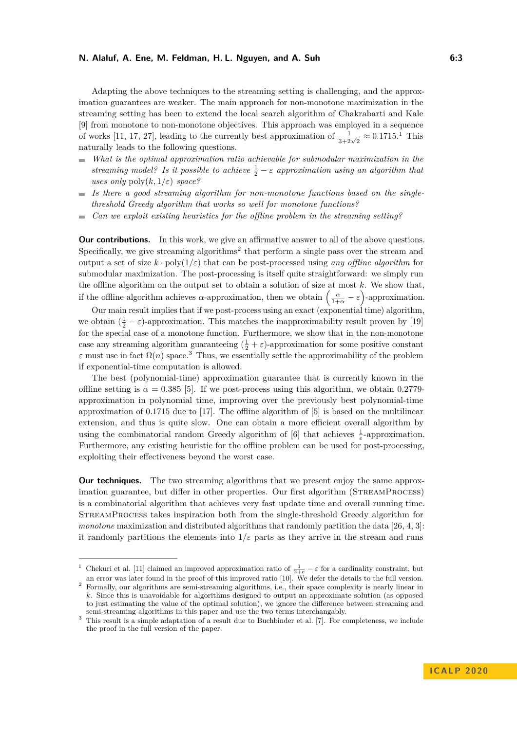Adapting the above techniques to the streaming setting is challenging, and the approximation guarantees are weaker. The main approach for non-monotone maximization in the streaming setting has been to extend the local search algorithm of Chakrabarti and Kale [\[9\]](#page-16-2) from monotone to non-monotone objectives. This approach was employed in a sequence of works [\[11,](#page-16-3) [17,](#page-17-0) [27\]](#page-17-6), leading to the currently best approximation of  $\frac{1}{3+2\sqrt{2}} \approx 0.1715$  $\frac{1}{3+2\sqrt{2}} \approx 0.1715$  $\frac{1}{3+2\sqrt{2}} \approx 0.1715$ .<sup>1</sup> This naturally leads to the following questions.

- *What is the optimal approximation ratio achievable for submodular maximization in the*  $\mathbf{r}$ *streaming model? Is it possible to achieve*  $\frac{1}{2} - \varepsilon$  *approximation using an algorithm that uses only*  $\text{poly}(k, 1/\varepsilon)$  *space?*
- *Is there a good streaming algorithm for non-monotone functions based on the singlethreshold Greedy algorithm that works so well for monotone functions?*
- *Can we exploit existing heuristics for the offline problem in the streaming setting?*  $\blacksquare$

**Our contributions.** In this work, we give an affirmative answer to all of the above questions. Specifically, we give streaming algorithms<sup>[2](#page-2-1)</sup> that perform a single pass over the stream and output a set of size  $k \cdot \text{poly}(1/\varepsilon)$  that can be post-processed using *any offline algorithm* for submodular maximization. The post-processing is itself quite straightforward: we simply run the offline algorithm on the output set to obtain a solution of size at most *k*. We show that, if the offline algorithm achieves *α*-approximation, then we obtain  $\left(\frac{\alpha}{1+\alpha} - \varepsilon\right)$ -approximation.

Our main result implies that if we post-process using an exact (exponential time) algorithm, we obtain  $(\frac{1}{2} - \varepsilon)$ -approximation. This matches the inapproximability result proven by [\[19\]](#page-17-7) for the special case of a monotone function. Furthermore, we show that in the non-monotone case any streaming algorithm guaranteeing  $(\frac{1}{2} + \varepsilon)$ -approximation for some positive constant *ε* must use in fact  $\Omega(n)$  space.<sup>[3](#page-2-2)</sup> Thus, we essentially settle the approximability of the problem if exponential-time computation is allowed.

The best (polynomial-time) approximation guarantee that is currently known in the offline setting is  $\alpha = 0.385$  [\[5\]](#page-16-0). If we post-process using this algorithm, we obtain 0.2779approximation in polynomial time, improving over the previously best polynomial-time approximation of 0*.*1715 due to [\[17\]](#page-17-0). The offline algorithm of [\[5\]](#page-16-0) is based on the multilinear extension, and thus is quite slow. One can obtain a more efficient overall algorithm by using the combinatorial random Greedy algorithm of  $[6]$  that achieves  $\frac{1}{e}$ -approximation. Furthermore, any existing heuristic for the offline problem can be used for post-processing, exploiting their effectiveness beyond the worst case.

**Our techniques.** The two streaming algorithms that we present enjoy the same approximation guarantee, but differ in other properties. Our first algorithm (StreamProcess) is a combinatorial algorithm that achieves very fast update time and overall running time. StreamProcess takes inspiration both from the single-threshold Greedy algorithm for *monotone* maximization and distributed algorithms that randomly partition the data [\[26,](#page-17-3) [4,](#page-16-4) [3\]](#page-16-5): it randomly partitions the elements into  $1/\varepsilon$  parts as they arrive in the stream and runs

<span id="page-2-0"></span><sup>&</sup>lt;sup>1</sup> Chekuri et al. [\[11\]](#page-16-3) claimed an improved approximation ratio of  $\frac{1}{2+e} - \varepsilon$  for a cardinality constraint, but an error was later found in the proof of this improved ratio [\[10\]](#page-16-8). We defer the details to the full version.

<span id="page-2-1"></span><sup>&</sup>lt;sup>2</sup> Formally, our algorithms are semi-streaming algorithms, i.e., their space complexity is nearly linear in *k*. Since this is unavoidable for algorithms designed to output an approximate solution (as opposed to just estimating the value of the optimal solution), we ignore the difference between streaming and semi-streaming algorithms in this paper and use the two terms interchangably.

<span id="page-2-2"></span><sup>&</sup>lt;sup>3</sup> This result is a simple adaptation of a result due to Buchbinder et al. [\[7\]](#page-16-9). For completeness, we include the proof in the full version of the paper.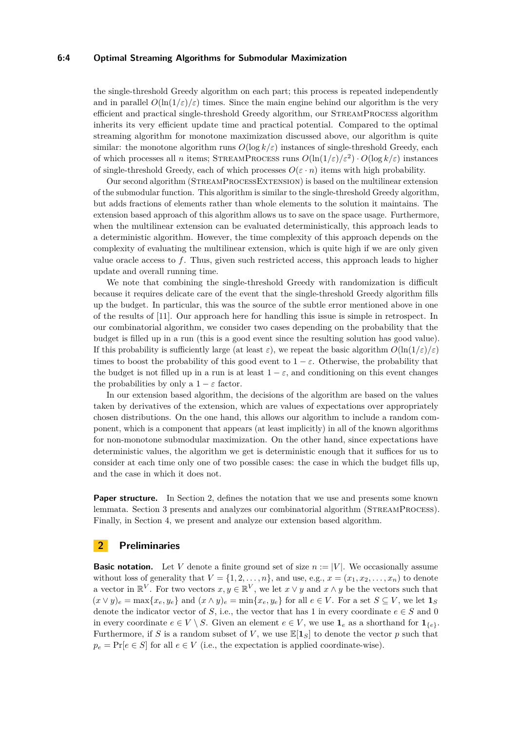#### **6:4 Optimal Streaming Algorithms for Submodular Maximization**

the single-threshold Greedy algorithm on each part; this process is repeated independently and in parallel  $O(\ln(1/\varepsilon)/\varepsilon)$  times. Since the main engine behind our algorithm is the very efficient and practical single-threshold Greedy algorithm, our StreamProcess algorithm inherits its very efficient update time and practical potential. Compared to the optimal streaming algorithm for monotone maximization discussed above, our algorithm is quite similar: the monotone algorithm runs  $O(\log k/\varepsilon)$  instances of single-threshold Greedy, each of which processes all *n* items; STREAMPROCESS runs  $O(\ln(1/\varepsilon)/\varepsilon^2) \cdot O(\log k/\varepsilon)$  instances of single-threshold Greedy, each of which processes  $O(\varepsilon \cdot n)$  items with high probability.

Our second algorithm (StreamProcessExtension) is based on the multilinear extension of the submodular function. This algorithm is similar to the single-threshold Greedy algorithm, but adds fractions of elements rather than whole elements to the solution it maintains. The extension based approach of this algorithm allows us to save on the space usage. Furthermore, when the multilinear extension can be evaluated deterministically, this approach leads to a deterministic algorithm. However, the time complexity of this approach depends on the complexity of evaluating the multilinear extension, which is quite high if we are only given value oracle access to *f*. Thus, given such restricted access, this approach leads to higher update and overall running time.

We note that combining the single-threshold Greedy with randomization is difficult because it requires delicate care of the event that the single-threshold Greedy algorithm fills up the budget. In particular, this was the source of the subtle error mentioned above in one of the results of [\[11\]](#page-16-3). Our approach here for handling this issue is simple in retrospect. In our combinatorial algorithm, we consider two cases depending on the probability that the budget is filled up in a run (this is a good event since the resulting solution has good value). If this probability is sufficiently large (at least  $\varepsilon$ ), we repeat the basic algorithm  $O(\ln(1/\varepsilon)/\varepsilon)$ times to boost the probability of this good event to  $1 - \varepsilon$ . Otherwise, the probability that the budget is not filled up in a run is at least  $1 - \varepsilon$ , and conditioning on this event changes the probabilities by only a  $1 - \varepsilon$  factor.

In our extension based algorithm, the decisions of the algorithm are based on the values taken by derivatives of the extension, which are values of expectations over appropriately chosen distributions. On the one hand, this allows our algorithm to include a random component, which is a component that appears (at least implicitly) in all of the known algorithms for non-monotone submodular maximization. On the other hand, since expectations have deterministic values, the algorithm we get is deterministic enough that it suffices for us to consider at each time only one of two possible cases: the case in which the budget fills up, and the case in which it does not.

**Paper structure.** In Section [2,](#page-3-0) defines the notation that we use and presents some known lemmata. Section [3](#page-4-0) presents and analyzes our combinatorial algorithm (StreamProcess). Finally, in Section [4,](#page-10-0) we present and analyze our extension based algorithm.

## <span id="page-3-0"></span>**2 Preliminaries**

**Basic notation.** Let *V* denote a finite ground set of size  $n := |V|$ . We occasionally assume without loss of generality that  $V = \{1, 2, \ldots, n\}$ , and use, e.g.,  $x = (x_1, x_2, \ldots, x_n)$  to denote a vector in  $\mathbb{R}^V$ . For two vectors  $x, y \in \mathbb{R}^V$ , we let  $x \vee y$  and  $x \wedge y$  be the vectors such that  $(x \vee y)_e = \max\{x_e, y_e\}$  and  $(x \wedge y)_e = \min\{x_e, y_e\}$  for all  $e \in V$ . For a set  $S \subseteq V$ , we let  $\mathbf{1}_S$ denote the indicator vector of *S*, i.e., the vector that has 1 in every coordinate  $e \in S$  and 0 in every coordinate  $e \in V \setminus S$ . Given an element  $e \in V$ , we use  $\mathbf{1}_e$  as a shorthand for  $\mathbf{1}_{\{e\}}$ . Furthermore, if *S* is a random subset of *V*, we use  $\mathbb{E}[\mathbf{1}_S]$  to denote the vector *p* such that  $p_e = \Pr[e \in S]$  for all  $e \in V$  (i.e., the expectation is applied coordinate-wise).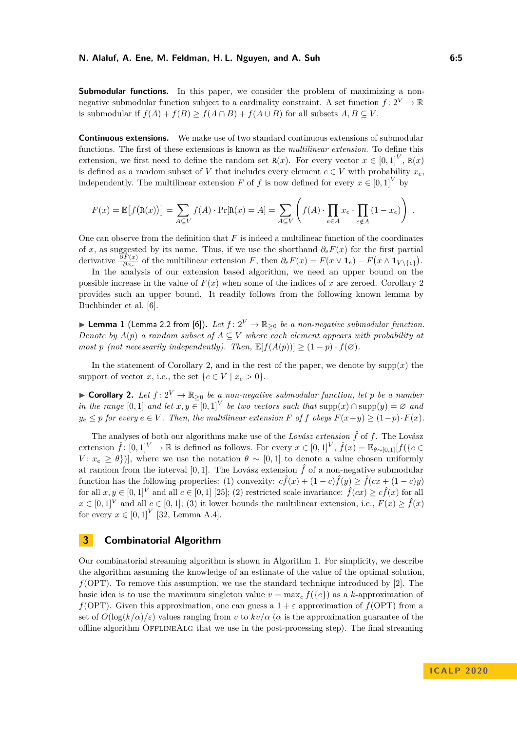**Submodular functions.** In this paper, we consider the problem of maximizing a nonnegative submodular function subject to a cardinality constraint. A set function  $f: 2^V \to \mathbb{R}$ is submodular if  $f(A) + f(B) > f(A \cap B) + f(A \cup B)$  for all subsets  $A, B \subseteq V$ .

**Continuous extensions.** We make use of two standard continuous extensions of submodular functions. The first of these extensions is known as the *multilinear extension*. To define this extension, we first need to define the random set  $R(x)$ . For every vector  $x \in [0,1]^V$ ,  $R(x)$ is defined as a random subset of *V* that includes every element  $e \in V$  with probability  $x_e$ , independently. The multilinear extension *F* of *f* is now defined for every  $x \in [0,1]^V$  by

$$
F(x) = \mathbb{E}\big[f(\mathbf{R}(x))\big] = \sum_{A \subseteq V} f(A) \cdot \Pr[\mathbf{R}(x) = A] = \sum_{A \subseteq V} \left(f(A) \cdot \prod_{e \in A} x_e \cdot \prod_{e \notin A} (1 - x_e)\right).
$$

One can observe from the definition that *F* is indeed a multilinear function of the coordinates of *x*, as suggested by its name. Thus, if we use the shorthand *∂eF*(*x*) for the first partial derivative  $\frac{\partial F(x)}{\partial x_e}$  of the multilinear extension *F*, then  $\partial_e F(x) = F(x \vee \mathbf{1}_e) - F(x \wedge \mathbf{1}_{V \setminus \{e\}}).$ 

In the analysis of our extension based algorithm, we need an upper bound on the possible increase in the value of  $F(x)$  when some of the indices of x are zeroed. Corollary [2](#page-4-1) provides such an upper bound. It readily follows from the following known lemma by Buchbinder et al. [\[6\]](#page-16-7).

▶ Lemma 1 (Lemma 2.2 from [\[6\]](#page-16-7)). Let  $f: 2^V \to \mathbb{R}_{\geq 0}$  be a non-negative submodular function. *Denote by*  $A(p)$  *a random subset of*  $A \subseteq V$  *where each element appears with probability at most p* (not necessarily independently). Then,  $\mathbb{E}[f(A(p))] \geq (1-p) \cdot f(\emptyset)$ .

In the statement of Corollary [2,](#page-4-1) and in the rest of the paper, we denote by  $supp(x)$  the support of vector *x*, i.e., the set  $\{e \in V \mid x_e > 0\}.$ 

<span id="page-4-1"></span>▶ **Corollary 2.** Let  $f: 2^V \to \mathbb{R}_{\geq 0}$  be a non-negative submodular function, let p be a number *in the range*  $[0,1]$  *and let*  $x, y \in [0,1]^V$  *be two vectors such that*  $\text{supp}(x) \cap \text{supp}(y) = \emptyset$  *and*  $y_e \leq p$  *for every*  $e \in V$ *. Then, the multilinear extension F of f obeys*  $F(x+y) \geq (1-p) \cdot F(x)$ *.* 

The analyses of both our algorithms make use of the *Lovász extension*  $\hat{f}$  of  $f$ . The Lovász extension  $\hat{f}$ :  $[0,1]^V \to \mathbb{R}$  is defined as follows. For every  $x \in [0,1]^V$ ,  $\hat{f}(x) = \mathbb{E}_{\theta \sim [0,1]}[f(\{e \in$ *V* :  $x_e \geq \theta$ }), where we use the notation  $\theta \sim [0, 1]$  to denote a value chosen uniformly at random from the interval [0, 1]. The Lovász extension  $\hat{f}$  of a non-negative submodular function has the following properties: (1) convexity:  $c\hat{f}(x) + (1 - c)\hat{f}(y) \geq \hat{f}(cx + (1 - c)y)$ for all  $x, y \in [0, 1]^V$  and all  $c \in [0, 1]$  [\[25\]](#page-17-15); (2) restricted scale invariance:  $\hat{f}(cx) \geq c\hat{f}(x)$  for all  $x \in [0,1]^V$  and all  $c \in [0,1]$ ; (3) it lower bounds the multilinear extension, i.e.,  $F(x) \ge \hat{f}(x)$ for every  $x \in [0,1]^V$  [\[32,](#page-18-3) Lemma A.4].

# <span id="page-4-0"></span>**3 Combinatorial Algorithm**

Our combinatorial streaming algorithm is shown in Algorithm 1. For simplicity, we describe the algorithm assuming the knowledge of an estimate of the value of the optimal solution,  $f(OPT)$ . To remove this assumption, we use the standard technique introduced by [\[2\]](#page-16-1). The basic idea is to use the maximum singleton value  $v = \max_e f(\{e\})$  as a *k*-approximation of *f*(OPT). Given this approximation, one can guess a  $1 + \varepsilon$  approximation of *f*(OPT) from a set of  $O(\log(k/\alpha)/\varepsilon)$  values ranging from *v* to  $kv/\alpha$  ( $\alpha$  is the approximation guarantee of the offline algorithm OFFLINEALG that we use in the post-processing step). The final streaming

**I C A L P 2 0 2 0**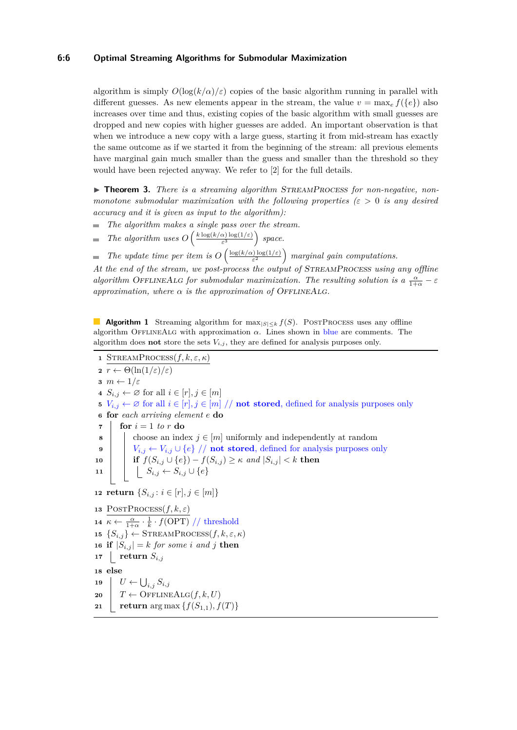## **6:6 Optimal Streaming Algorithms for Submodular Maximization**

algorithm is simply  $O(\log(k/\alpha)/\epsilon)$  copies of the basic algorithm running in parallel with different guesses. As new elements appear in the stream, the value  $v = \max_e f({e})$  also increases over time and thus, existing copies of the basic algorithm with small guesses are dropped and new copies with higher guesses are added. An important observation is that when we introduce a new copy with a large guess, starting it from mid-stream has exactly the same outcome as if we started it from the beginning of the stream: all previous elements have marginal gain much smaller than the guess and smaller than the threshold so they would have been rejected anyway. We refer to [\[2\]](#page-16-1) for the full details.

▶ **Theorem 3.** *There is a streaming algorithm STREAMPROCESS for non-negative, nonmonotone submodular maximization with the following properties (ε >* 0 *is any desired accuracy and it is given as input to the algorithm):*

- $\overline{a}$ *The algorithm makes a single pass over the stream.*
- *The algorithm uses*  $O\left(\frac{k \log(k/\alpha) \log(1/\varepsilon)}{\varepsilon^3}\right)$  $\frac{\alpha)\log(1/\varepsilon)}{\varepsilon^3}$  *space.*
- *The update time per item is*  $O\left(\frac{\log(k/\alpha)\log(1/\varepsilon)}{\varepsilon^2}\right)$  $\left(\frac{\rho}{\varepsilon^2}\right)^{\frac{1}{\varepsilon}}$  marginal gain computations.  $\equiv$

*At the end of the stream, we post-process the output of* StreamProcess *using any offline algorithm* OFFLINEALG *for submodular maximization. The resulting solution is a*  $\frac{\alpha}{1+\alpha} - \varepsilon$ *approximation, where*  $\alpha$  *is the approximation of OFFLINEALG.* 

■ **Algorithm 1** Streaming algorithm for max<sub> $|S| \le k$ </sub>  $f(S)$ . POSTPROCESS uses any offline algorithm OfflineAlg with approximation *α*. Lines shown in blue are comments. The algorithm does **not** store the sets  $V_{i,j}$ , they are defined for analysis purposes only.

1 
$$
\text{STREAMPROCESS}(f, k, \varepsilon, \kappa)
$$
\n2  $r \leftarrow \Theta(\ln(1/\varepsilon)/\varepsilon)$ \n3  $m \leftarrow 1/\varepsilon$ \n4  $S_{i,j} \leftarrow \varnothing$  for all  $i \in [r], j \in [m]$ \n5  $V_{i,j} \leftarrow \varnothing$  for all  $i \in [r], j \in [m] // \text{ not stored, defined for analysis purposes only}$ \n6 for each arriving element  $e$  do\n7 **for**  $i = 1$  to  $r$  do\n8 **for** each and  $j \in [m]$  uniformly and independently at random  $V_{i,j} \leftarrow V_{i,j} \cup \{e\} // \text{ not stored, defined for analysis purposes only if  $f(S_{i,j} \cup \{e\}) - f(S_{i,j}) \geq \kappa$  and  $|S_{i,j}| < k$  then\n11 **if**  $S_{i,j} \leftarrow S_{i,j} \cup \{e\}$ \n12 return  $\{S_{i,j} : i \in [r], j \in [m]\}$ \n13 **POSTPROCESS}(f, k, \varepsilon)**\n14  $\kappa \leftarrow \frac{\alpha}{1 + \alpha} \cdot \frac{1}{k} \cdot f(\text{OPT}) // \text{threshold}$ \n15  $\{S_{i,j}\} \leftarrow \text{STREAMPROCESS}(f, k, \varepsilon, \kappa)$ \n16 if  $|S_{i,j}| = k$  for some  $i$  and  $j$  then\n17 **return**  $S_{i,j}$ \n18 else\n19 **if**  $U \leftarrow \bigcup_{i,j} S_{i,j}$ \n20 **if**  $T \leftarrow \text{OFELINEALG}(f, k, U)$ \n21 **return** arg max  $\{f(S_{1,1}), f(T)\}$$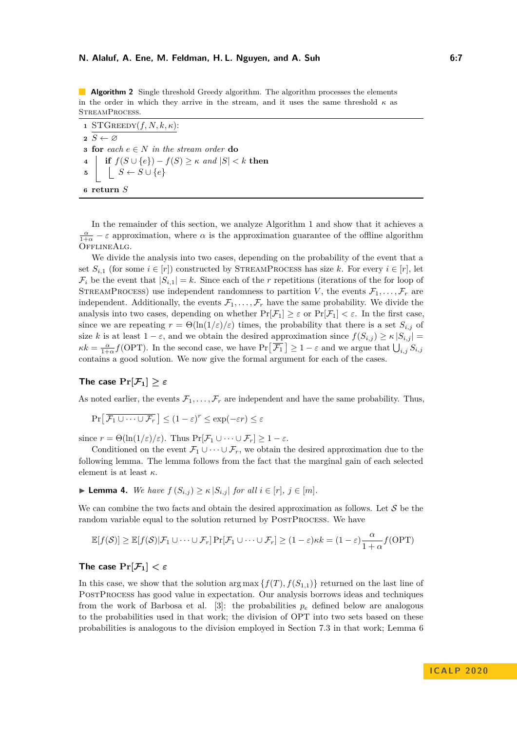**Algorithm 2** Single threshold Greedy algorithm. The algorithm processes the elements in the order in which they arrive in the stream, and it uses the same threshold  $\kappa$  as StreamProcess.

 STGREEDY $(f, N, k, \kappa)$ : **<sup>2</sup>** *S* ← ∅ **for**  $\operatorname{each} e \in N$  *in the stream order* **do if**  $f(S \cup \{e\}) - f(S) \ge \kappa$  *and*  $|S| < k$  **then**   $S \cup \{e\}$ **<sup>6</sup> return** *S*

In the remainder of this section, we analyze Algorithm 1 and show that it achieves a  $\frac{\alpha}{1+\alpha} - \varepsilon$  approximation, where  $\alpha$  is the approximation guarantee of the offline algorithm OfflineAlg.

We divide the analysis into two cases, depending on the probability of the event that a set  $S_{i,1}$  (for some  $i \in [r]$ ) constructed by STREAMPROCESS has size k. For every  $i \in [r]$ , let  $\mathcal{F}_i$  be the event that  $|S_{i,1}| = k$ . Since each of the *r* repetitions (iterations of the for loop of STREAMPROCESS) use independent randomness to partition *V*, the events  $\mathcal{F}_1, \ldots, \mathcal{F}_r$  are independent. Additionally, the events  $\mathcal{F}_1, \ldots, \mathcal{F}_r$  have the same probability. We divide the analysis into two cases, depending on whether  $Pr[\mathcal{F}_1] \geq \varepsilon$  or  $Pr[\mathcal{F}_1] < \varepsilon$ . In the first case, since we are repeating  $r = \Theta(\ln(1/\varepsilon)/\varepsilon)$  times, the probability that there is a set  $S_{i,j}$  of size *k* is at least  $1 - \varepsilon$ , and we obtain the desired approximation since  $f(S_{i,j}) \ge \kappa |S_{i,j}| =$  $\kappa k = \frac{\alpha}{1+\alpha} f(\text{OPT})$ . In the second case, we have  $Pr[\overline{\mathcal{F}_1}] \geq 1-\varepsilon$  and we argue that  $\bigcup_{i,j} S_{i,j}$ contains a good solution. We now give the formal argument for each of the cases.

## **The case**  $Pr[\mathcal{F}_1] > \varepsilon$

As noted earlier, the events  $\mathcal{F}_1, \ldots, \mathcal{F}_r$  are independent and have the same probability. Thus,

$$
\Pr\left[\overline{\mathcal{F}_1 \cup \cdots \cup \mathcal{F}_r}\right] \le (1 - \varepsilon)^r \le \exp(-\varepsilon r) \le \varepsilon
$$

since  $r = \Theta(\ln(1/\varepsilon)/\varepsilon)$ . Thus  $\Pr[\mathcal{F}_1 \cup \cdots \cup \mathcal{F}_r] \geq 1 - \varepsilon$ .

Conditioned on the event  $\mathcal{F}_1 \cup \cdots \cup \mathcal{F}_r$ , we obtain the desired approximation due to the following lemma. The lemma follows from the fact that the marginal gain of each selected element is at least *κ*.

$$
\blacktriangleright \textbf{Lemma 4.} We have } f(S_{i,j}) \geq \kappa |S_{i,j}| \text{ for all } i \in [r], j \in [m].
$$

We can combine the two facts and obtain the desired approximation as follows. Let  $\mathcal S$  be the random variable equal to the solution returned by POSTPROCESS. We have

$$
\mathbb{E}[f(\mathcal{S})] \geq \mathbb{E}[f(\mathcal{S})|\mathcal{F}_1 \cup \cdots \cup \mathcal{F}_r] \Pr[\mathcal{F}_1 \cup \cdots \cup \mathcal{F}_r] \geq (1-\varepsilon)\kappa k = (1-\varepsilon)\frac{\alpha}{1+\alpha}f(\text{OPT})
$$

# **The case**  $Pr[\mathcal{F}_1] < \varepsilon$

In this case, we show that the solution arg max  $\{f(T), f(S_{1,1})\}$  returned on the last line of PostProcess has good value in expectation. Our analysis borrows ideas and techniques from the work of Barbosa et al. [\[3\]](#page-16-5): the probabilities  $p_e$  defined below are analogous to the probabilities used in that work; the division of OPT into two sets based on these probabilities is analogous to the division employed in Section 7.3 in that work; Lemma [6](#page-8-0)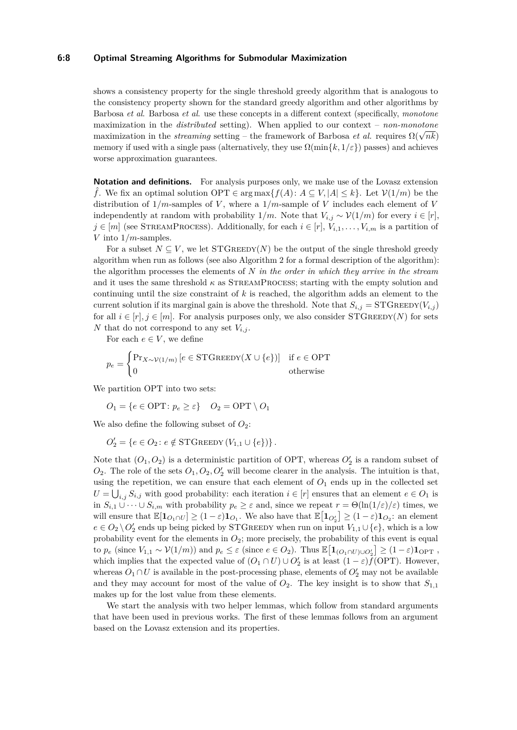#### **6:8 Optimal Streaming Algorithms for Submodular Maximization**

shows a consistency property for the single threshold greedy algorithm that is analogous to the consistency property shown for the standard greedy algorithm and other algorithms by Barbosa *et al*. Barbosa *et al*. use these concepts in a different context (specifically, *monotone* maximization in the *distributed* setting). When applied to our context – *non-monotone* maximization in the *astributea* setting). When applied to our context – *non-monotone*<br>maximization in the *streaming* setting – the framework of Barbosa *et al.* requires  $\Omega(\sqrt{nk})$ memory if used with a single pass (alternatively, they use  $\Omega(\min\{k, 1/\varepsilon\})$  passes) and achieves worse approximation guarantees.

**Notation and definitions.** For analysis purposes only, we make use of the Lovasz extension *f*. We fix an optimal solution OPT ∈ arg max ${f(A): A ⊆ V, |A| ≤ k}$ . Let  $V(1/m)$  be the distribution of  $1/m$ -samples of *V*, where a  $1/m$ -sample of *V* includes each element of *V* independently at random with probability  $1/m$ . Note that  $V_{i,j} \sim \mathcal{V}(1/m)$  for every  $i \in [r]$ ,  $j \in [m]$  (see STREAMPROCESS). Additionally, for each  $i \in [r]$ ,  $V_{i,1}, \ldots, V_{i,m}$  is a partition of *V* into 1*/m*-samples.

For a subset  $N \subseteq V$ , we let  $STGREEDY(N)$  be the output of the single threshold greedy algorithm when run as follows (see also Algorithm 2 for a formal description of the algorithm): the algorithm processes the elements of *N in the order in which they arrive in the stream* and it uses the same threshold  $\kappa$  as STREAMPROCESS; starting with the empty solution and continuing until the size constraint of *k* is reached, the algorithm adds an element to the current solution if its marginal gain is above the threshold. Note that  $S_{i,j} = \text{STGREEDY}(V_{i,j})$ for all  $i \in [r], j \in [m]$ . For analysis purposes only, we also consider STGREEDY(*N*) for sets *N* that do not correspond to any set  $V_i$ ,

For each  $e \in V$ , we define

$$
p_e = \begin{cases} \Pr_{X \sim \mathcal{V}(1/m)} \left[ e \in \text{STGREEDY}(X \cup \{e\}) \right] & \text{if } e \in \text{OPT} \\ 0 & \text{otherwise} \end{cases}
$$

We partition OPT into two sets:

$$
O_1 = \{ e \in \text{OPT} \colon p_e \ge \varepsilon \} \quad O_2 = \text{OPT} \setminus O_1
$$

We also define the following subset of  $O_2$ :

$$
O'_2 = \{e \in O_2 \colon e \notin \text{STGREEDY}(V_{1,1} \cup \{e\})\}.
$$

Note that  $(O_1, O_2)$  is a deterministic partition of OPT, whereas  $O'_2$  is a random subset of  $O_2$ . The role of the sets  $O_1$ ,  $O_2$ ,  $O'_2$  will become clearer in the analysis. The intuition is that, using the repetition, we can ensure that each element of  $O_1$  ends up in the collected set  $U = \bigcup_{i,j} S_{i,j}$  with good probability: each iteration  $i \in [r]$  ensures that an element  $e \in O_1$  is in  $S_{i,1} \cup \cdots \cup S_{i,m}$  with probability  $p_e \geq \varepsilon$  and, since we repeat  $r = \Theta(\ln(1/\varepsilon)/\varepsilon)$  times, we will ensure that  $\mathbb{E}[\mathbf{1}_{O_1 \cap U}] \ge (1 - \varepsilon) \mathbf{1}_{O_1}$ . We also have that  $\mathbb{E}[\mathbf{1}_{O_2'}] \ge (1 - \varepsilon) \mathbf{1}_{O_2}$ : an element  $e \in O_2 \setminus O'_2$  ends up being picked by STGREEDY when run on input  $V_{1,1} \cup \{e\}$ , which is a low probability event for the elements in  $O_2$ ; more precisely, the probability of this event is equal to  $p_e$  (since  $V_{1,1} \sim \mathcal{V}(1/m)$ ) and  $p_e \leq \varepsilon$  (since  $e \in O_2$ ). Thus  $\mathbb{E}[\mathbf{1}_{(O_1 \cap U) \cup O'_2}] \geq (1 - \varepsilon) \mathbf{1}_{\text{OPT}}$ , which implies that the expected value of  $(O_1 \cap U) \cup O'_2$  is at least  $(1 - \varepsilon) \bar{f}(\text{OPT})$ . However, whereas  $O_1 \cap U$  is available in the post-processing phase, elements of  $O'_2$  may not be available and they may account for most of the value of  $O_2$ . The key insight is to show that  $S_{1,1}$ makes up for the lost value from these elements.

<span id="page-7-0"></span>We start the analysis with two helper lemmas, which follow from standard arguments that have been used in previous works. The first of these lemmas follows from an argument based on the Lovasz extension and its properties.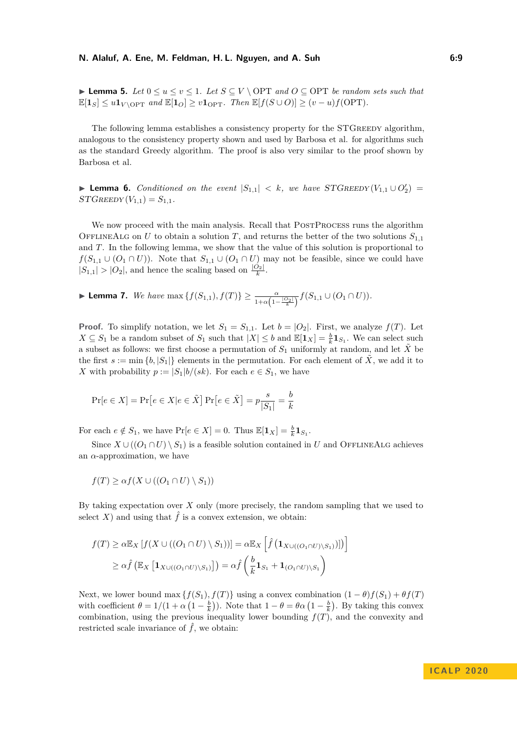► **Lemma 5.** *Let*  $0 \le u \le v \le 1$ *. Let*  $S \subseteq V \setminus \text{OPT}$  *and*  $O \subseteq \text{OPT}$  *be random sets such that*  $\mathbb{E}[\mathbf{1}_S] \leq u \mathbf{1}_{V \setminus \text{OPT}}$  and  $\mathbb{E}[\mathbf{1}_O] \geq v \mathbf{1}_{\text{OPT}}$ . Then  $\mathbb{E}[f(S \cup O)] \geq (v - u)f(\text{OPT})$ .

The following lemma establishes a consistency property for the STGREEDY algorithm. analogous to the consistency property shown and used by Barbosa et al. for algorithms such as the standard Greedy algorithm. The proof is also very similar to the proof shown by Barbosa et al.

<span id="page-8-0"></span>▶ **Lemma 6.** *Conditioned on the event*  $|S_{1,1}| < k$ *, we have*  $STGREEDY(V_{1,1} \cup O'_2)$  =  $STGREEDY(V_{1,1}) = S_{1,1}.$ 

We now proceed with the main analysis. Recall that POSTPROCESS runs the algorithm OFFLINEALG on *U* to obtain a solution *T*, and returns the better of the two solutions  $S_{1,1}$ and *T*. In the following lemma, we show that the value of this solution is proportional to  $f(S_{1,1} \cup (O_1 \cap U))$ . Note that  $S_{1,1} \cup (O_1 \cap U)$  may not be feasible, since we could have  $|S_{1,1}| > |O_2|$ , and hence the scaling based on  $\frac{|O_2|}{k}$ .

<span id="page-8-1"></span>► **Lemma 7.** *We have* max  $\{f(S_{1,1}), f(T)\} \ge \frac{\alpha}{1+\alpha(1-\frac{|O_2|}{k})} f(S_{1,1} \cup (O_1 \cap U)).$ 

**Proof.** To simplify notation, we let  $S_1 = S_{1,1}$ . Let  $b = |O_2|$ . First, we analyze  $f(T)$ . Let *X* ⊆ *S*<sub>1</sub> be a random subset of *S*<sub>1</sub> such that  $|X| ≤ b$  and  $\mathbb{E}[\mathbf{1}_X] = \frac{b}{k} \mathbf{1}_{S_1}$ . We can select such a subset as follows: we first choose a permutation of  $S_1$  uniformly at random, and let  $\tilde{X}$  be the first  $s := \min \{b, |S_1|\}$  elements in the permutation. For each element of  $\tilde{X}$ , we add it to *X* with probability  $p := |S_1|b/(sk)$ . For each  $e \in S_1$ , we have

$$
\Pr[e \in X] = \Pr\big[e \in X | e \in \tilde{X}\big] \Pr\big[e \in \tilde{X}\big] = p\frac{s}{|S_1|} = \frac{b}{k}
$$

For each  $e \notin S_1$ , we have  $\Pr[e \in X] = 0$ . Thus  $\mathbb{E}[\mathbf{1}_X] = \frac{b}{k} \mathbf{1}_{S_1}$ .

Since  $X \cup ((O_1 \cap U) \setminus S_1)$  is a feasible solution contained in *U* and OFFLINEALG achieves an  $\alpha$ -approximation, we have

$$
f(T) \geq \alpha f(X \cup ((O_1 \cap U) \setminus S_1))
$$

By taking expectation over *X* only (more precisely, the random sampling that we used to select *X*) and using that  $\hat{f}$  is a convex extension, we obtain:

$$
f(T) \ge \alpha \mathbb{E}_X \left[ f(X \cup ((O_1 \cap U) \setminus S_1)) \right] = \alpha \mathbb{E}_X \left[ \hat{f} \left( \mathbf{1}_{X \cup ((O_1 \cap U) \setminus S_1)} \right) \right] \right]
$$
  
 
$$
\ge \alpha \hat{f} \left( \mathbb{E}_X \left[ \mathbf{1}_{X \cup ((O_1 \cap U) \setminus S_1)} \right] \right) = \alpha \hat{f} \left( \frac{b}{k} \mathbf{1}_{S_1} + \mathbf{1}_{(O_1 \cap U) \setminus S_1} \right)
$$

Next, we lower bound max  $\{f(S_1), f(T)\}$  using a convex combination  $(1 - \theta)f(S_1) + \theta f(T)$ with coefficient  $\theta = 1/(1 + \alpha \left(1 - \frac{b}{k}\right))$ . Note that  $1 - \theta = \theta \alpha \left(1 - \frac{b}{k}\right)$ . By taking this convex combination, using the previous inequality lower bounding  $f(T)$ , and the convexity and restricted scale invariance of  $\hat{f}$ , we obtain: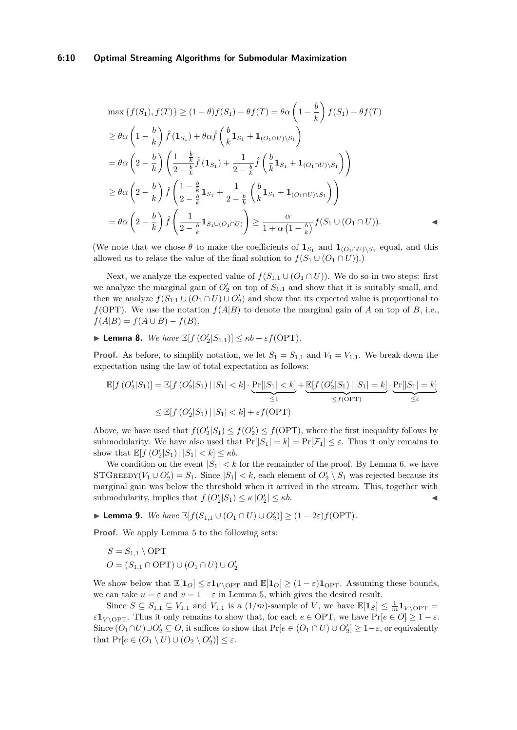#### **6:10 Optimal Streaming Algorithms for Submodular Maximization**

$$
\max \left\{ f(S_1), f(T) \right\} \ge (1 - \theta) f(S_1) + \theta f(T) = \theta \alpha \left( 1 - \frac{b}{k} \right) f(S_1) + \theta f(T)
$$
\n
$$
\ge \theta \alpha \left( 1 - \frac{b}{k} \right) \hat{f} \left( \mathbf{1}_{S_1} \right) + \theta \alpha \hat{f} \left( \frac{b}{k} \mathbf{1}_{S_1} + \mathbf{1}_{(O_1 \cap U) \setminus S_1} \right)
$$
\n
$$
= \theta \alpha \left( 2 - \frac{b}{k} \right) \left( \frac{1 - \frac{b}{k}}{2 - \frac{b}{k}} \hat{f} \left( \mathbf{1}_{S_1} \right) + \frac{1}{2 - \frac{b}{k}} \hat{f} \left( \frac{b}{k} \mathbf{1}_{S_1} + \mathbf{1}_{(O_1 \cap U) \setminus S_1} \right) \right)
$$
\n
$$
\ge \theta \alpha \left( 2 - \frac{b}{k} \right) \hat{f} \left( \frac{1 - \frac{b}{k}}{2 - \frac{b}{k}} \mathbf{1}_{S_1} + \frac{1}{2 - \frac{b}{k}} \left( \frac{b}{k} \mathbf{1}_{S_1} + \mathbf{1}_{(O_1 \cap U) \setminus S_1} \right) \right)
$$
\n
$$
= \theta \alpha \left( 2 - \frac{b}{k} \right) \hat{f} \left( \frac{1}{2 - \frac{b}{k}} \mathbf{1}_{S_1 \cup (O_1 \cap U)} \right) \ge \frac{\alpha}{1 + \alpha \left( 1 - \frac{b}{k} \right)} f(S_1 \cup (O_1 \cap U)).
$$

(We note that we chose  $\theta$  to make the coefficients of  $\mathbf{1}_{S_1}$  and  $\mathbf{1}_{(O_1 \cap U)\setminus S_1}$  equal, and this allowed us to relate the value of the final solution to  $f(S_1 \cup (O_1 \cap U))$ .)

Next, we analyze the expected value of  $f(S_{1,1} \cup (O_1 \cap U))$ . We do so in two steps: first we analyze the marginal gain of  $O'_{2}$  on top of  $S_{1,1}$  and show that it is suitably small, and then we analyze  $f(S_{1,1} \cup (O_1 \cap U) \cup O'_2)$  and show that its expected value is proportional to *f*(OPT). We use the notation  $f(A|B)$  to denote the marginal gain of *A* on top of *B*, i.e.,  $f(A|B) = f(A \cup B) - f(B).$ 

<span id="page-9-0"></span>**Example 1 Lemma 8.** *We have*  $\mathbb{E}[f(O_2'|S_{1,1})] \le \kappa b + \varepsilon f(\text{OPT}).$ 

**Proof.** As before, to simplify notation, we let  $S_1 = S_{1,1}$  and  $V_1 = V_{1,1}$ . We break down the expectation using the law of total expectation as follows:

$$
\mathbb{E}[f\left(O_2'|S_1\right)] = \mathbb{E}[f\left(O_2'|S_1\right)| |S_1| < k] \cdot \underbrace{\Pr[|S_1| < k]}_{\leq 1} + \underbrace{\mathbb{E}[f\left(O_2'|S_1\right)| |S_1| = k]}_{\leq f\text{(OPT)}} \cdot \underbrace{\Pr[|S_1| = k]}_{\leq \varepsilon}
$$
\n
$$
\leq \mathbb{E}[f\left(O_2'|S_1\right)| |S_1| < k] + \varepsilon f\text{(OPT)}
$$

Above, we have used that  $f(O_2' | S_1) \leq f(O_2') \leq f(OPT)$ , where the first inequality follows by submodularity. We have also used that  $Pr[|S_1| = k] = Pr[\mathcal{F}_1] \leq \varepsilon$ . Thus it only remains to show that  $\mathbb{E}[f(O_2'|S_1) | |S_1| < k] \leq \kappa b$ .

We condition on the event  $|S_1| < k$  for the remainder of the proof. By Lemma [6,](#page-8-0) we have STGREEDY $(V_1 \cup O'_2) = S_1$ . Since  $|S_1| < k$ , each element of  $O'_2 \setminus S_1$  was rejected because its marginal gain was below the threshold when it arrived in the stream. This, together with submodularity, implies that  $f(Q_2'|S_1) \leq \kappa |Q_2'| \leq \kappa b$ .

<span id="page-9-1"></span>► **Lemma 9.** *We have*  $\mathbb{E}[f(S_{1,1} \cup (O_1 \cap U) \cup O'_2)] \geq (1 - 2\varepsilon)f(\text{OPT}).$ 

**Proof.** We apply Lemma [5](#page-7-0) to the following sets:

$$
S = S_{1,1} \setminus \text{OPT}
$$
  

$$
O = (S_{1,1} \cap \text{OPT}) \cup (O_1 \cap U) \cup O'_2
$$

We show below that  $\mathbb{E}[\mathbf{1}_O] \leq \varepsilon \mathbf{1}_{V \setminus \text{OPT}}$  and  $\mathbb{E}[\mathbf{1}_O] \geq (1 - \varepsilon) \mathbf{1}_{\text{OPT}}$ . Assuming these bounds, we can take  $u = \varepsilon$  and  $v = 1 - \varepsilon$  in Lemma [5,](#page-7-0) which gives the desired result.

Since  $S \subseteq S_{1,1} \subseteq V_{1,1}$  and  $V_{1,1}$  is a  $(1/m)$ -sample of *V*, we have  $\mathbb{E}[\mathbf{1}_S] \leq \frac{1}{m} \mathbf{1}_{V \setminus \text{OPT}} =$ *ε***1***V* \OPT. Thus it only remains to show that, for each  $e \in \text{OPT}$ , we have  $\Pr[e \in O] \geq 1 - \varepsilon$ . Since  $(O_1 \cap U) \cup O'_2 \subseteq O$ , it suffices to show that  $Pr[e \in (O_1 \cap U) \cup O'_2] \geq 1-\varepsilon$ , or equivalently that  $\Pr[e \in (O_1 \setminus U) \cup (O_2 \setminus O'_2)] \leq \varepsilon$ .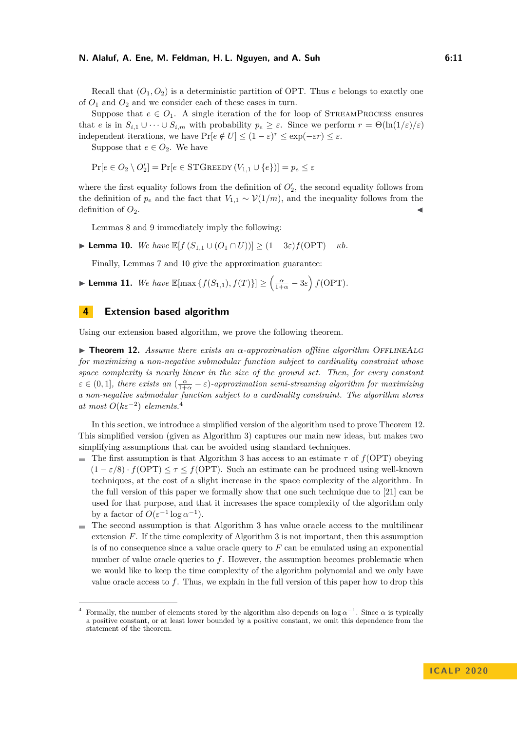Recall that  $(O_1, O_2)$  is a deterministic partition of OPT. Thus *e* belongs to exactly one of  $O_1$  and  $O_2$  and we consider each of these cases in turn.

Suppose that  $e \in O_1$ . A single iteration of the for loop of STREAMPROCESS ensures that *e* is in  $S_{i,1} \cup \cdots \cup S_{i,m}$  with probability  $p_e \geq \varepsilon$ . Since we perform  $r = \Theta(\ln(1/\varepsilon)/\varepsilon)$ independent iterations, we have  $\Pr[e \notin U] \leq (1 - \varepsilon)^r \leq \exp(-\varepsilon r) \leq \varepsilon$ .

Suppose that  $e \in O_2$ . We have

$$
\Pr[e \in O_2 \setminus O_2'] = \Pr[e \in \text{STGREEDY}(V_{1,1} \cup \{e\})] = p_e \le \varepsilon
$$

where the first equality follows from the definition of  $O'_{2}$ , the second equality follows from the definition of  $p_e$  and the fact that  $V_{1,1} \sim \mathcal{V}(1/m)$ , and the inequality follows from the definition of  $O_2$ .

Lemmas [8](#page-9-0) and [9](#page-9-1) immediately imply the following:

<span id="page-10-1"></span> $\blacktriangleright$  **Lemma 10.** *We have*  $\mathbb{E}[f(S_{1,1} \cup (O_1 \cap U))] > (1-3\varepsilon)f(OPT) - \kappa b$ .

Finally, Lemmas [7](#page-8-1) and [10](#page-10-1) give the approximation guarantee:

► Lemma 11. *We have*  $\mathbb{E}[\max\left\{f(S_{1,1}), f(T)\right\}] \geq \left(\frac{\alpha}{1+\alpha} - 3\varepsilon\right)f(\text{OPT}).$ 

## <span id="page-10-0"></span>**4 Extension based algorithm**

<span id="page-10-3"></span>Using our extension based algorithm, we prove the following theorem.

**Figure 12.** *Assume there exists an*  $\alpha$ -approximation offline algorithm OFFLINEALG *for maximizing a non-negative submodular function subject to cardinality constraint whose space complexity is nearly linear in the size of the ground set. Then, for every constant*  $\varepsilon \in (0,1]$ , there exists an  $(\frac{\alpha}{1+\alpha} - \varepsilon)$ -approximation semi-streaming algorithm for maximizing *a non-negative submodular function subject to a cardinality constraint. The algorithm stores*  $at most O(k\varepsilon^{-2}) elements.<sup>4</sup>$  $at most O(k\varepsilon^{-2}) elements.<sup>4</sup>$  $at most O(k\varepsilon^{-2}) elements.<sup>4</sup>$ 

In this section, we introduce a simplified version of the algorithm used to prove Theorem [12.](#page-10-3) This simplified version (given as Algorithm [3\)](#page-11-0) captures our main new ideas, but makes two simplifying assumptions that can be avoided using standard techniques.

- The first assumption is that Algorithm [3](#page-11-0) has access to an estimate  $\tau$  of  $f(OPT)$  obeying  $(1 - \varepsilon/8) \cdot f(OPT) \leq \tau \leq f(OPT)$ . Such an estimate can be produced using well-known techniques, at the cost of a slight increase in the space complexity of the algorithm. In the full version of this paper we formally show that one such technique due to [\[21\]](#page-17-16) can be used for that purpose, and that it increases the space complexity of the algorithm only by a factor of  $O(\varepsilon^{-1} \log \alpha^{-1}).$
- The second assumption is that Algorithm [3](#page-11-0) has value oracle access to the multilinear  $\blacksquare$ extension *F*. If the time complexity of Algorithm [3](#page-11-0) is not important, then this assumption is of no consequence since a value oracle query to *F* can be emulated using an exponential number of value oracle queries to *f*. However, the assumption becomes problematic when we would like to keep the time complexity of the algorithm polynomial and we only have value oracle access to *f*. Thus, we explain in the full version of this paper how to drop this

<span id="page-10-2"></span><sup>&</sup>lt;sup>4</sup> Formally, the number of elements stored by the algorithm also depends on  $\log \alpha^{-1}$ . Since  $\alpha$  is typically a positive constant, or at least lower bounded by a positive constant, we omit this dependence from the statement of the theorem.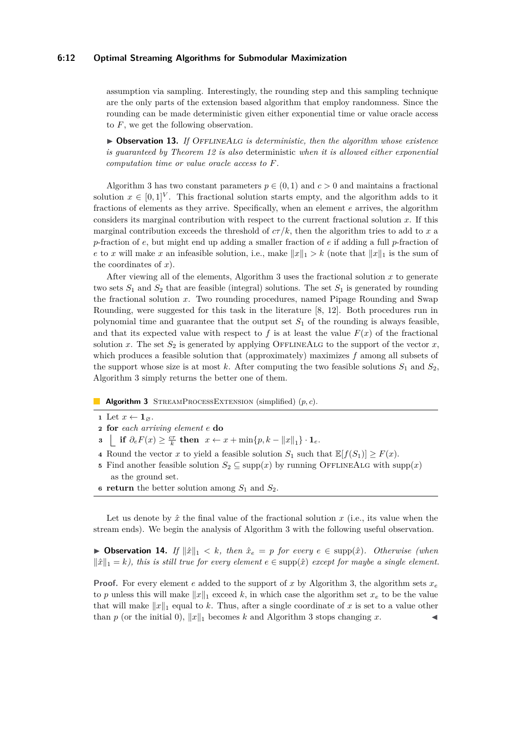#### **6:12 Optimal Streaming Algorithms for Submodular Maximization**

assumption via sampling. Interestingly, the rounding step and this sampling technique are the only parts of the extension based algorithm that employ randomness. Since the rounding can be made deterministic given either exponential time or value oracle access to *F*, we get the following observation.

▶ Observation 13. *If* OFFLINEALG *is deterministic, then the algorithm whose existence is guaranteed by Theorem [12](#page-10-3) is also* deterministic *when it is allowed either exponential computation time or value oracle access to F.*

Algorithm [3](#page-11-0) has two constant parameters  $p \in (0, 1)$  and  $c > 0$  and maintains a fractional solution  $x \in [0,1]^V$ . This fractional solution starts empty, and the algorithm adds to it fractions of elements as they arrive. Specifically, when an element *e* arrives, the algorithm considers its marginal contribution with respect to the current fractional solution *x*. If this marginal contribution exceeds the threshold of  $c\tau/k$ , then the algorithm tries to add to x a *p*-fraction of *e*, but might end up adding a smaller fraction of *e* if adding a full *p*-fraction of *e* to *x* will make *x* an infeasible solution, i.e., make  $||x||_1 > k$  (note that  $||x||_1$  is the sum of the coordinates of *x*).

After viewing all of the elements, Algorithm [3](#page-11-0) uses the fractional solution *x* to generate two sets  $S_1$  and  $S_2$  that are feasible (integral) solutions. The set  $S_1$  is generated by rounding the fractional solution *x*. Two rounding procedures, named Pipage Rounding and Swap Rounding, were suggested for this task in the literature [\[8,](#page-16-10) [12\]](#page-16-11). Both procedures run in polynomial time and guarantee that the output set  $S<sub>1</sub>$  of the rounding is always feasible, and that its expected value with respect to  $f$  is at least the value  $F(x)$  of the fractional solution *x*. The set  $S_2$  is generated by applying OFFLINEALG to the support of the vector *x*, which produces a feasible solution that (approximately) maximizes *f* among all subsets of the support whose size is at most  $k$ . After computing the two feasible solutions  $S_1$  and  $S_2$ , Algorithm [3](#page-11-0) simply returns the better one of them.

**Algorithm 3** STREAMPROCESSEXTENSION (simplified)  $(p, c)$ .

- <span id="page-11-0"></span>**1** Let  $x \leftarrow 1_{\emptyset}$ .
- **<sup>2</sup> for** *each arriving element e* **do**
- **3**  $\left[\int_0^{\infty} \mathbf{if} \ \partial_e F(x) \geq \frac{c\tau}{k} \ \mathbf{then} \ \ x \leftarrow x + \min\{p, k \|x\|_1\} \cdot \mathbf{1}_e.$
- **4** Round the vector *x* to yield a feasible solution  $S_1$  such that  $\mathbb{E}[f(S_1)] \geq F(x)$ .
- **5** Find another feasible solution  $S_2 \subseteq \text{supp}(x)$  by running OFFLINEALG with  $\text{supp}(x)$ as the ground set.
- **6 return** the better solution among  $S_1$  and  $S_2$ .

Let us denote by  $\hat{x}$  the final value of the fractional solution  $x$  (i.e., its value when the stream ends). We begin the analysis of Algorithm [3](#page-11-0) with the following useful observation.

<span id="page-11-1"></span>▶ Observation 14. *If*  $\|\hat{x}\|_1 < k$ , then  $\hat{x}_e = p$  for every  $e \in \text{supp}(\hat{x})$ . Otherwise (when  $\|\hat{x}\|_1 = k$ , this is still true for every element  $e \in \text{supp}(\hat{x})$  except for maybe a single element.

**Proof.** For every element *e* added to the support of *x* by Algorithm [3,](#page-11-0) the algorithm sets  $x_e$ to *p* unless this will make  $||x||_1$  exceed *k*, in which case the algorithm set  $x_e$  to be the value that will make  $||x||_1$  equal to *k*. Thus, after a single coordinate of *x* is set to a value other than *p* (or the initial 0),  $||x||_1$  becomes *k* and Algorithm [3](#page-11-0) stops changing *x*.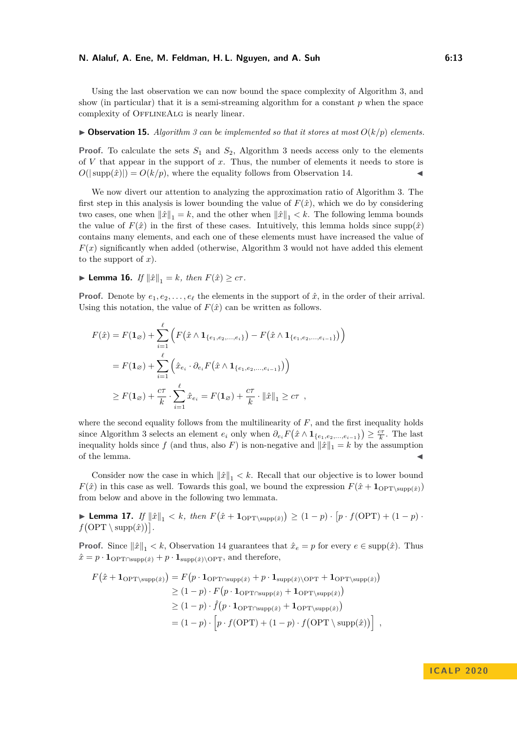Using the last observation we can now bound the space complexity of Algorithm [3,](#page-11-0) and show (in particular) that it is a semi-streaming algorithm for a constant *p* when the space complexity of OFFLINEALG is nearly linear.

#### $\triangleright$  **Observation 15.** Algorithm [3](#page-11-0) can be implemented so that it stores at most  $O(k/p)$  elements.

**Proof.** To calculate the sets  $S_1$  and  $S_2$ , Algorithm [3](#page-11-0) needs access only to the elements of *V* that appear in the support of *x*. Thus, the number of elements it needs to store is  $O(|\text{supp}(\hat{x})|) = O(k/p)$ , where the equality follows from Observation [14.](#page-11-1)

We now divert our attention to analyzing the approximation ratio of Algorithm [3.](#page-11-0) The first step in this analysis is lower bounding the value of  $F(\hat{x})$ , which we do by considering two cases, one when  $\|\hat{x}\|_1 = k$ , and the other when  $\|\hat{x}\|_1 < k$ . The following lemma bounds the value of  $F(\hat{x})$  in the first of these cases. Intuitively, this lemma holds since supp $(\hat{x})$ contains many elements, and each one of these elements must have increased the value of  $F(x)$  significantly when added (otherwise, Algorithm [3](#page-11-0) would not have added this element to the support of *x*).

<span id="page-12-0"></span>▶ **Lemma 16.** *If*  $||\hat{x}||_1 = k$ *, then*  $F(\hat{x}) \geq c\tau$ *.* 

**Proof.** Denote by  $e_1, e_2, \ldots, e_\ell$  the elements in the support of  $\hat{x}$ , in the order of their arrival. Using this notation, the value of  $F(\hat{x})$  can be written as follows.

$$
F(\hat{x}) = F(\mathbf{1}_{\varnothing}) + \sum_{i=1}^{\ell} \left( F(\hat{x} \wedge \mathbf{1}_{\{e_1, e_2, ..., e_i\}}) - F(\hat{x} \wedge \mathbf{1}_{\{e_1, e_2, ..., e_{i-1}\}}) \right)
$$
  
=  $F(\mathbf{1}_{\varnothing}) + \sum_{i=1}^{\ell} \left( \hat{x}_{e_i} \cdot \partial_{e_i} F(\hat{x} \wedge \mathbf{1}_{\{e_1, e_2, ..., e_{i-1}\}}) \right)$   

$$
\geq F(\mathbf{1}_{\varnothing}) + \frac{c\tau}{k} \cdot \sum_{i=1}^{\ell} \hat{x}_{e_i} = F(\mathbf{1}_{\varnothing}) + \frac{c\tau}{k} \cdot \|\hat{x}\|_1 \geq c\tau,
$$

where the second equality follows from the multilinearity of *F*, and the first inequality holds since Algorithm [3](#page-11-0) selects an element  $e_i$  only when  $\partial_{e_i} F(\hat{x} \wedge \mathbf{1}_{\{e_1, e_2, ..., e_{i-1}\}}) \geq \frac{c\tau}{k}$ . The last inequality holds since *f* (and thus, also *F*) is non-negative and  $\|\hat{x}\|_1 = k$  by the assumption of the lemma.

Consider now the case in which  $\|\hat{x}\|_1 < k$ . Recall that our objective is to lower bound  $F(\hat{x})$  in this case as well. Towards this goal, we bound the expression  $F(\hat{x} + \mathbf{1}_{\text{OPT}\setminus \text{supp}(\hat{x})})$ from below and above in the following two lemmata.

► Lemma 17. *If*  $||\hat{x}||_1 < k$ , then  $F(\hat{x} + \mathbf{1}_{\text{OPT}\setminus \text{supp}(\hat{x})}) \geq (1 - p) \cdot [p \cdot f(\text{OPT}) + (1 - p) \cdot$  $f$ (OPT \ supp $(\hat{x})$ ).

**Proof.** Since  $\|\hat{x}\|_1 < k$ , Observation [14](#page-11-1) guarantees that  $\hat{x}_e = p$  for every  $e \in \text{supp}(\hat{x})$ . Thus  $\hat{x} = p \cdot \mathbf{1}_{\text{OPT} \cap \text{supp}(\hat{x})} + p \cdot \mathbf{1}_{\text{supp}(\hat{x}) \setminus \text{OPT}}$ , and therefore,

$$
F(\hat{x} + \mathbf{1}_{\text{OPT}\setminus \text{supp}(\hat{x})}) = F(p \cdot \mathbf{1}_{\text{OPT}\setminus \text{supp}(\hat{x})} + p \cdot \mathbf{1}_{\text{supp}(\hat{x}) \setminus \text{OPT}} + \mathbf{1}_{\text{OPT}\setminus \text{supp}(\hat{x})})
$$
  
\n
$$
\geq (1 - p) \cdot F(p \cdot \mathbf{1}_{\text{OPT}\setminus \text{supp}(\hat{x})} + \mathbf{1}_{\text{OPT}\setminus \text{supp}(\hat{x})})
$$
  
\n
$$
\geq (1 - p) \cdot \hat{f}(p \cdot \mathbf{1}_{\text{OPT}\setminus \text{supp}(\hat{x})} + \mathbf{1}_{\text{OPT}\setminus \text{supp}(\hat{x})})
$$
  
\n
$$
= (1 - p) \cdot \left[ p \cdot f(\text{OPT}) + (1 - p) \cdot f(\text{OPT}\setminus \text{supp}(\hat{x})) \right],
$$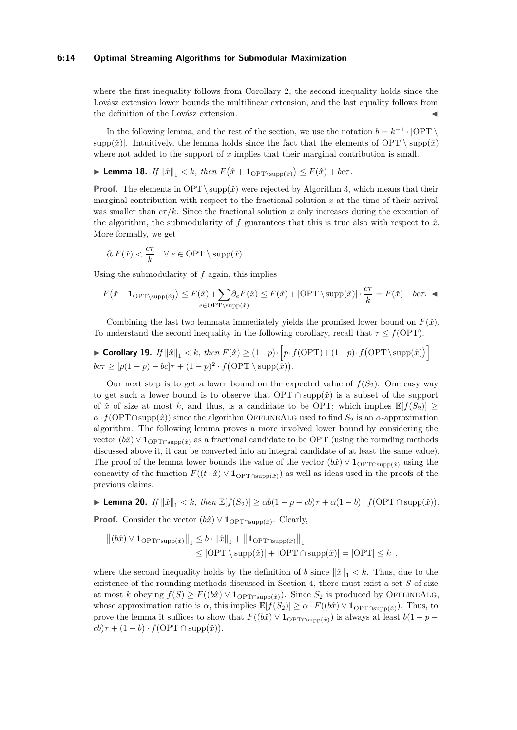#### **6:14 Optimal Streaming Algorithms for Submodular Maximization**

where the first inequality follows from Corollary [2,](#page-4-1) the second inequality holds since the Lovász extension lower bounds the multilinear extension, and the last equality follows from the definition of the Lovász extension.

In the following lemma, and the rest of the section, we use the notation  $b = k^{-1} \cdot |OPT \setminus$ supp $(\hat{x})$ . Intuitively, the lemma holds since the fact that the elements of OPT  $\setminus$  supp $(\hat{x})$ where not added to the support of *x* implies that their marginal contribution is small.

<span id="page-13-0"></span>▶ Lemma 18. *If*  $\|\hat{x}\|_1 < k$ , then  $F(\hat{x} + 1_{\text{OPT}\setminus \text{supp}(\hat{x})}) \leq F(\hat{x}) + b c \tau$ .

**Proof.** The elements in OPT \ $supp(\hat{x})$  were rejected by Algorithm [3,](#page-11-0) which means that their marginal contribution with respect to the fractional solution  $x$  at the time of their arrival was smaller than  $c\tau/k$ . Since the fractional solution x only increases during the execution of the algorithm, the submodularity of  $f$  guarantees that this is true also with respect to  $\hat{x}$ . More formally, we get

$$
\partial_e F(\hat{x}) < \frac{c\tau}{k} \quad \forall e \in \text{OPT} \setminus \text{supp}(\hat{x})
$$
.

Using the submodularity of *f* again, this implies

$$
F(\hat{x} + \mathbf{1}_{\text{OPT}\backslash \text{supp}(\hat{x})}) \leq F(\hat{x}) + \sum_{e \in \text{OPT}\backslash \text{supp}(\hat{x})} \leq F(\hat{x}) + |\text{OPT}\backslash \text{supp}(\hat{x})| \cdot \frac{c\tau}{k} = F(\hat{x}) + b c\tau.
$$

Combining the last two lemmata immediately yields the promised lower bound on  $F(\hat{x})$ . To understand the second inequality in the following corollary, recall that  $\tau \leq f(\text{OPT})$ .

<span id="page-13-1"></span>► Corollary 19. If 
$$
\|\hat{x}\|_1 < k
$$
, then  $F(\hat{x}) \ge (1-p) \cdot \left[ p \cdot f(\text{OPT}) + (1-p) \cdot f(\text{OPT} \setminus \text{supp}(\hat{x})) \right] -$   
  $bc\tau \ge [p(1-p) - bc]\tau + (1-p)^2 \cdot f(\text{OPT} \setminus \text{supp}(\hat{x})).$ 

Our next step is to get a lower bound on the expected value of  $f(S_2)$ . One easy way to get such a lower bound is to observe that  $\text{OPT} \cap \text{supp}(\hat{x})$  is a subset of the support of  $\hat{x}$  of size at most k, and thus, is a candidate to be OPT; which implies  $\mathbb{E}[f(S_2)] \geq$  $\alpha \cdot f(\text{OPT} \cap \text{supp}(\hat{x}))$  since the algorithm OFFLINEALG used to find  $S_2$  is an  $\alpha$ -approximation algorithm. The following lemma proves a more involved lower bound by considering the vector  $(b\hat{x}) \vee \mathbf{1}_{\text{OPT}\cap \text{supp}(\hat{x})}$  as a fractional candidate to be OPT (using the rounding methods discussed above it, it can be converted into an integral candidate of at least the same value). The proof of the lemma lower bounds the value of the vector  $(b\hat{x}) \vee \mathbf{1}_{\text{OPT} \cap \text{supp}(\hat{x})}$  using the concavity of the function  $F((t \cdot \hat{x}) \vee \mathbf{1}_{\text{OPT} \cap \text{supp}(\hat{x})})$  as well as ideas used in the proofs of the previous claims.

<span id="page-13-2"></span> $\blacktriangleright$  **Lemma 20.** *If*  $||\hat{x}||_1 < k$ *, then*  $\mathbb{E}[f(S_2)] \ge \alpha b(1 - p - cb)\tau + \alpha(1 - b) \cdot f(\text{OPT} \cap \text{supp}(\hat{x}))$ *.* 

**Proof.** Consider the vector  $(b\hat{x}) \vee \mathbf{1}_{\text{OPT} \cap \text{supp}(\hat{x})}$ . Clearly,

$$
\|(b\hat{x}) \vee \mathbf{1}_{\text{OPT} \cap \text{supp}(\hat{x})}\|_1 \le b \cdot \|\hat{x}\|_1 + \|\mathbf{1}_{\text{OPT} \cap \text{supp}(\hat{x})}\|_1
$$
  

$$
\le |\text{OPT} \setminus \text{supp}(\hat{x})| + |\text{OPT} \cap \text{supp}(\hat{x})| = |\text{OPT}| \le k,
$$

where the second inequality holds by the definition of *b* since  $\|\hat{x}\|_1 < k$ . Thus, due to the existence of the rounding methods discussed in Section [4,](#page-10-0) there must exist a set *S* of size at most *k* obeying  $f(S) \geq F((b\hat{x}) \vee \mathbf{1}_{\text{OPT} \cap \text{supp}(\hat{x})})$ . Since  $S_2$  is produced by OFFLINEALG, whose approximation ratio is  $\alpha$ , this implies  $\mathbb{E}[f(S_2)] \geq \alpha \cdot F((b\hat{x}) \vee \mathbf{1}_{\text{OPT}\cap \text{supp}(\hat{x})})$ . Thus, to prove the lemma it suffices to show that  $F((b\hat{x}) \vee \mathbf{1}_{\text{OPT}\cap \text{supp}(\hat{x})})$  is always at least  $b(1 - p - p)$  $cb)\tau + (1-b) \cdot f(OPT \cap supp(\hat{x})).$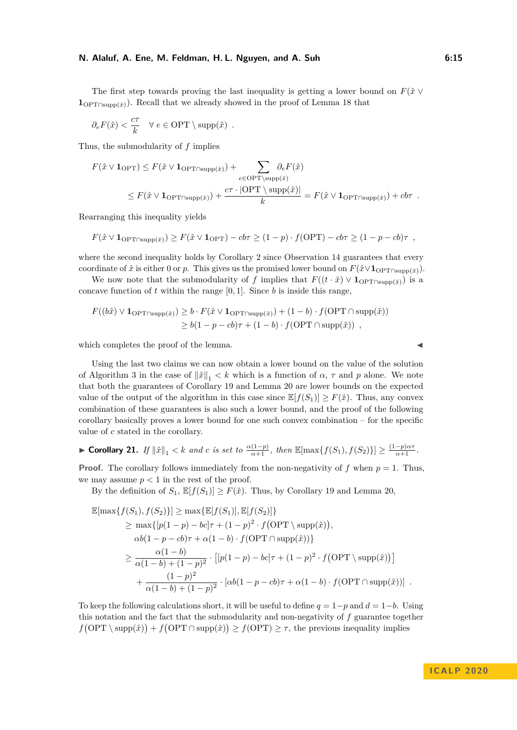The first step towards proving the last inequality is getting a lower bound on  $F(\hat{x} \vee$  $1_{\text{OPT}\cap \text{supp}(\hat{x})}$ . Recall that we already showed in the proof of Lemma [18](#page-13-0) that

$$
\partial_e F(\hat{x}) < \frac{c\tau}{k} \quad \forall e \in \text{OPT} \setminus \text{supp}(\hat{x})
$$
.

Thus, the submodularity of *f* implies

$$
F(\hat{x} \vee \mathbf{1}_{\text{OPT}}) \leq F(\hat{x} \vee \mathbf{1}_{\text{OPT} \cap \text{supp}(\hat{x})}) + \sum_{e \in \text{OPT} \setminus \text{supp}(\hat{x})} \partial_e F(\hat{x})
$$
  
 
$$
\leq F(\hat{x} \vee \mathbf{1}_{\text{OPT} \cap \text{supp}(\hat{x})}) + \frac{c\tau \cdot |\text{OPT} \setminus \text{supp}(\hat{x})|}{k} = F(\hat{x} \vee \mathbf{1}_{\text{OPT} \cap \text{supp}(\hat{x})}) + cb\tau.
$$

Rearranging this inequality yields

$$
F(\hat{x} \vee \mathbf{1}_{\text{OPT} \cap \text{supp}(\hat{x})}) \geq F(\hat{x} \vee \mathbf{1}_{\text{OPT}}) - cb\tau \geq (1-p) \cdot f(\text{OPT}) - cb\tau \geq (1-p - cb)\tau ,
$$

where the second inequality holds by Corollary [2](#page-4-1) since Observation [14](#page-11-1) guarantees that every coordinate of  $\hat{x}$  is either 0 or *p*. This gives us the promised lower bound on  $F(\hat{x} \lor 1_{\text{OPT}\cap \text{supp}(\hat{x})})$ .

We now note that the submodularity of *f* implies that  $F((t \cdot \hat{x}) \vee \mathbf{1}_{\text{OPT} \cap \text{sum}(\hat{x})})$  is a concave function of  $t$  within the range  $[0, 1]$ . Since  $b$  is inside this range,

$$
F((b\hat{x}) \vee \mathbf{1}_{\text{OPT} \cap \text{supp}(\hat{x})}) \ge b \cdot F(\hat{x} \vee \mathbf{1}_{\text{OPT} \cap \text{supp}(\hat{x})}) + (1 - b) \cdot f(\text{OPT} \cap \text{supp}(\hat{x}))
$$
  
\n
$$
\ge b(1 - p - cb)\tau + (1 - b) \cdot f(\text{OPT} \cap \text{supp}(\hat{x})) ,
$$

which completes the proof of the lemma.

Using the last two claims we can now obtain a lower bound on the value of the solution of Algorithm [3](#page-11-0) in the case of  $\|\hat{x}\|_1 < k$  which is a function of  $\alpha$ ,  $\tau$  and  $p$  alone. We note that both the guarantees of Corollary [19](#page-13-1) and Lemma [20](#page-13-2) are lower bounds on the expected value of the output of the algorithm in this case since  $\mathbb{E}[f(S_1)] \geq F(\hat{x})$ . Thus, any convex combination of these guarantees is also such a lower bound, and the proof of the following corollary basically proves a lower bound for one such convex combination – for the specific value of *c* stated in the corollary.

<span id="page-14-0"></span>
$$
\blacktriangleright \textbf{Corollary 21. } If \|\hat{x}\|_1 < k \text{ and } c \text{ is set to } \frac{\alpha(1-p)}{\alpha+1}, \text{ then } \mathbb{E}[\max\{f(S_1), f(S_2)\}] \ge \frac{(1-p)\alpha\tau}{\alpha+1}.
$$

**Proof.** The corollary follows immediately from the non-negativity of  $f$  when  $p = 1$ . Thus, we may assume  $p < 1$  in the rest of the proof.

By the definition of  $S_1$ ,  $\mathbb{E}[f(S_1)] > F(\hat{x})$ . Thus, by Corollary [19](#page-13-1) and Lemma [20,](#page-13-2)

$$
\mathbb{E}[\max\{f(S_1), f(S_2)\}] \ge \max\{\mathbb{E}[f(S_1)], \mathbb{E}[f(S_2)]\}
$$
  
\n
$$
\ge \max\{[p(1-p) - bc]\tau + (1-p)^2 \cdot f(\text{OPT} \setminus \text{supp}(\hat{x})),
$$
  
\n
$$
\alpha b(1-p - cb)\tau + \alpha(1-b) \cdot f(\text{OPT} \cap \text{supp}(\hat{x}))\}
$$
  
\n
$$
\ge \frac{\alpha(1-b)}{\alpha(1-b) + (1-p)^2} \cdot \left[ [p(1-p) - bc]\tau + (1-p)^2 \cdot f(\text{OPT} \setminus \text{supp}(\hat{x})) \right]
$$
  
\n
$$
+ \frac{(1-p)^2}{\alpha(1-b) + (1-p)^2} \cdot [\alpha b(1-p - cb)\tau + \alpha(1-b) \cdot f(\text{OPT} \cap \text{supp}(\hat{x}))]
$$

To keep the following calculations short, it will be useful to define  $q = 1-p$  and  $d = 1-b$ . Using this notation and the fact that the submodularity and non-negativity of *f* guarantee together  $f(\text{OPT} \setminus \text{supp}(\hat{x})) + f(\text{OPT} \cap \text{supp}(\hat{x})) \ge f(\text{OPT}) \ge \tau$ , the previous inequality implies

**I C A L P 2 0 2 0**

$$
\blacktriangleleft
$$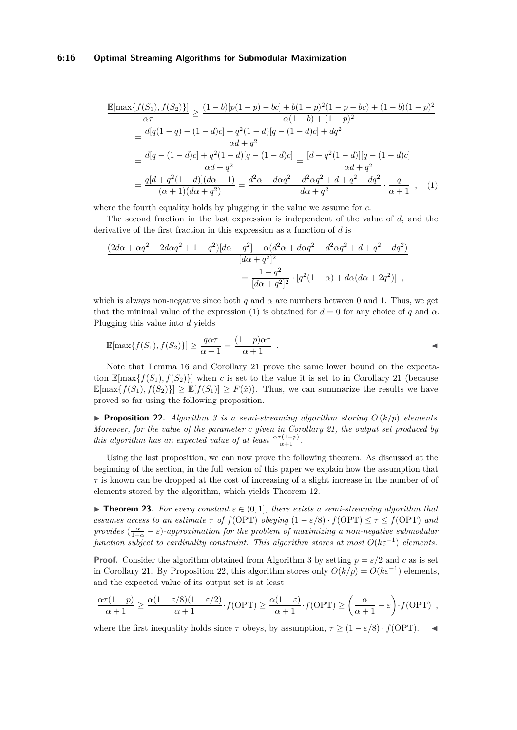#### **6:16 Optimal Streaming Algorithms for Submodular Maximization**

<span id="page-15-0"></span>
$$
\frac{\mathbb{E}[\max\{f(S_1), f(S_2)\}]}{\alpha \tau} \ge \frac{(1-b)[p(1-p)-bc]+b(1-p)^2(1-p-bc)+(1-b)(1-p)^2}{\alpha(1-b)+(1-p)^2}
$$

$$
= \frac{d[q(1-q)-(1-d)c]+q^2(1-d)[q-(1-d)c]+dq^2}{\alpha d + q^2}
$$

$$
= \frac{d[q-(1-d)c]+q^2(1-d)[q-(1-d)c]}{\alpha d + q^2} = \frac{[d+q^2(1-d)][q-(1-d)c]}{\alpha d + q^2}
$$

$$
= \frac{q[d+q^2(1-d)](d\alpha+1)}{(\alpha+1)(d\alpha+q^2)} = \frac{d^2\alpha+d\alpha q^2-d^2\alpha q^2+d+q^2-dq^2}{d\alpha+q^2} \cdot \frac{q}{\alpha+1}, \quad (1)
$$

where the fourth equality holds by plugging in the value we assume for *c*.

The second fraction in the last expression is independent of the value of *d*, and the derivative of the first fraction in this expression as a function of *d* is

$$
\frac{(2d\alpha + \alpha q^2 - 2d\alpha q^2 + 1 - q^2)[d\alpha + q^2] - \alpha(d^2\alpha + d\alpha q^2 - d^2\alpha q^2 + d + q^2 - dq^2)}{[d\alpha + q^2]^2}
$$

$$
= \frac{1 - q^2}{[d\alpha + q^2]^2} \cdot [q^2(1 - \alpha) + d\alpha(d\alpha + 2q^2)] ,
$$

which is always non-negative since both  $q$  and  $\alpha$  are numbers between 0 and 1. Thus, we get that the minimal value of the expression [\(1\)](#page-15-0) is obtained for  $d = 0$  for any choice of q and  $\alpha$ . Plugging this value into *d* yields

$$
\mathbb{E}[\max\{f(S_1), f(S_2)\}] \ge \frac{q\alpha\tau}{\alpha+1} = \frac{(1-p)\alpha\tau}{\alpha+1} .
$$

Note that Lemma [16](#page-12-0) and Corollary [21](#page-14-0) prove the same lower bound on the expectation  $\mathbb{E}[\max\{f(S_1), f(S_2)\}]$  when *c* is set to the value it is set to in Corollary [21](#page-14-0) (because  $\mathbb{E}[\max\{f(S_1), f(S_2)\}] \geq \mathbb{E}[f(S_1)] \geq F(\hat{x})$ . Thus, we can summarize the results we have proved so far using the following proposition.

<span id="page-15-1"></span>**• Proposition 22.** *Algorithm [3](#page-11-0) is a semi-streaming algorithm storing*  $O(k/p)$  *elements. Moreover, for the value of the parameter c given in Corollary [21,](#page-14-0) the output set produced by this algorithm has an expected value of at least*  $\frac{\alpha \tau(1-p)}{\alpha+1}$ .

Using the last proposition, we can now prove the following theorem. As discussed at the beginning of the section, in the full version of this paper we explain how the assumption that  $\tau$  is known can be dropped at the cost of increasing of a slight increase in the number of of elements stored by the algorithm, which yields Theorem [12.](#page-10-3)

<span id="page-15-2"></span>**Figure 123.** For every constant  $\varepsilon \in (0,1]$ , there exists a semi-streaming algorithm that *assumes access to an estimate*  $\tau$  *of*  $f(OPT)$  *obeying*  $(1 - \varepsilon/8) \cdot f(OPT) \leq \tau \leq f(OPT)$  *and provides*  $\left(\frac{\alpha}{1+\alpha} - \varepsilon\right)$ -approximation for the problem of maximizing a non-negative submodular *function subject to cardinality constraint. This algorithm stores at most*  $O(k\varepsilon^{-1})$  *elements.* 

**Proof.** Consider the algorithm obtained from Algorithm [3](#page-11-0) by setting  $p = \varepsilon/2$  and *c* as is set in Corollary [21.](#page-14-0) By Proposition [22,](#page-15-1) this algorithm stores only  $O(k/p) = O(k\varepsilon^{-1})$  elements, and the expected value of its output set is at least

$$
\frac{\alpha \tau (1-p)}{\alpha+1} \ge \frac{\alpha (1-\varepsilon/8)(1-\varepsilon/2)}{\alpha+1} \cdot f(\text{OPT}) \ge \frac{\alpha (1-\varepsilon)}{\alpha+1} \cdot f(\text{OPT}) \ge \left(\frac{\alpha}{\alpha+1} - \varepsilon\right) \cdot f(\text{OPT}) ,
$$

where the first inequality holds since  $\tau$  obeys, by assumption,  $\tau \geq (1 - \varepsilon/8) \cdot f(\text{OPT})$ .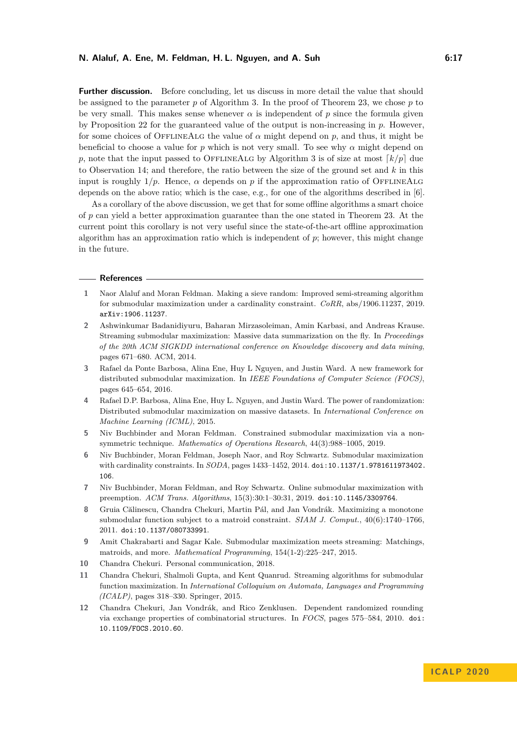**Further discussion.** Before concluding, let us discuss in more detail the value that should be assigned to the parameter  $p$  of Algorithm [3.](#page-11-0) In the proof of Theorem [23,](#page-15-2) we chose  $p$  to be very small. This makes sense whenever  $\alpha$  is independent of  $p$  since the formula given by Proposition [22](#page-15-1) for the guaranteed value of the output is non-increasing in *p*. However, for some choices of OFFLINEALG the value of  $\alpha$  might depend on  $p$ , and thus, it might be beneficial to choose a value for  $p$  which is not very small. To see why  $\alpha$  might depend on *p*, note that the input passed to OFFLINEALG by Algorithm [3](#page-11-0) is of size at most  $\lceil k/p \rceil$  due to Observation [14;](#page-11-1) and therefore, the ratio between the size of the ground set and *k* in this input is roughly  $1/p$ . Hence,  $\alpha$  depends on p if the approximation ratio of OFFLINEALG depends on the above ratio; which is the case, e.g., for one of the algorithms described in [\[6\]](#page-16-7).

As a corollary of the above discussion, we get that for some offline algorithms a smart choice of *p* can yield a better approximation guarantee than the one stated in Theorem [23.](#page-15-2) At the current point this corollary is not very useful since the state-of-the-art offline approximation algorithm has an approximation ratio which is independent of *p*; however, this might change in the future.

#### **References**

- <span id="page-16-6"></span>**1** Naor Alaluf and Moran Feldman. Making a sieve random: Improved semi-streaming algorithm for submodular maximization under a cardinality constraint. *CoRR*, abs/1906.11237, 2019. [arXiv:1906.11237](http://arxiv.org/abs/1906.11237).
- <span id="page-16-1"></span>**2** Ashwinkumar Badanidiyuru, Baharan Mirzasoleiman, Amin Karbasi, and Andreas Krause. Streaming submodular maximization: Massive data summarization on the fly. In *Proceedings of the 20th ACM SIGKDD international conference on Knowledge discovery and data mining*, pages 671–680. ACM, 2014.
- <span id="page-16-5"></span>**3** Rafael da Ponte Barbosa, Alina Ene, Huy L Nguyen, and Justin Ward. A new framework for distributed submodular maximization. In *IEEE Foundations of Computer Science (FOCS)*, pages 645–654, 2016.
- <span id="page-16-4"></span>**4** Rafael D.P. Barbosa, Alina Ene, Huy L. Nguyen, and Justin Ward. The power of randomization: Distributed submodular maximization on massive datasets. In *International Conference on Machine Learning (ICML)*, 2015.
- <span id="page-16-0"></span>**5** Niv Buchbinder and Moran Feldman. Constrained submodular maximization via a nonsymmetric technique. *Mathematics of Operations Research*, 44(3):988–1005, 2019.
- <span id="page-16-7"></span>**6** Niv Buchbinder, Moran Feldman, Joseph Naor, and Roy Schwartz. Submodular maximization with cardinality constraints. In *SODA*, pages 1433–1452, 2014. [doi:10.1137/1.9781611973402.](https://doi.org/10.1137/1.9781611973402.106) [106](https://doi.org/10.1137/1.9781611973402.106).
- <span id="page-16-9"></span>**7** Niv Buchbinder, Moran Feldman, and Roy Schwartz. Online submodular maximization with preemption. *ACM Trans. Algorithms*, 15(3):30:1–30:31, 2019. [doi:10.1145/3309764](https://doi.org/10.1145/3309764).
- <span id="page-16-10"></span>**8** Gruia Călinescu, Chandra Chekuri, Martin Pál, and Jan Vondrák. Maximizing a monotone submodular function subject to a matroid constraint. *SIAM J. Comput.*, 40(6):1740–1766, 2011. [doi:10.1137/080733991](https://doi.org/10.1137/080733991).
- <span id="page-16-2"></span>**9** Amit Chakrabarti and Sagar Kale. Submodular maximization meets streaming: Matchings, matroids, and more. *Mathematical Programming*, 154(1-2):225–247, 2015.
- <span id="page-16-8"></span>**10** Chandra Chekuri. Personal communication, 2018.
- <span id="page-16-3"></span>**11** Chandra Chekuri, Shalmoli Gupta, and Kent Quanrud. Streaming algorithms for submodular function maximization. In *International Colloquium on Automata, Languages and Programming (ICALP)*, pages 318–330. Springer, 2015.
- <span id="page-16-11"></span>**12** Chandra Chekuri, Jan Vondrák, and Rico Zenklusen. Dependent randomized rounding via exchange properties of combinatorial structures. In *FOCS*, pages 575–584, 2010. [doi:](https://doi.org/10.1109/FOCS.2010.60) [10.1109/FOCS.2010.60](https://doi.org/10.1109/FOCS.2010.60).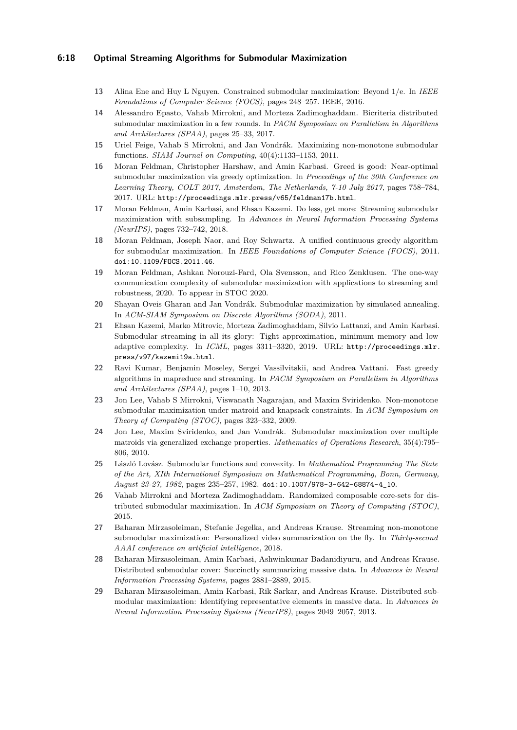#### **6:18 Optimal Streaming Algorithms for Submodular Maximization**

- <span id="page-17-12"></span>**13** Alina Ene and Huy L Nguyen. Constrained submodular maximization: Beyond 1/e. In *IEEE Foundations of Computer Science (FOCS)*, pages 248–257. IEEE, 2016.
- <span id="page-17-5"></span>**14** Alessandro Epasto, Vahab Mirrokni, and Morteza Zadimoghaddam. Bicriteria distributed submodular maximization in a few rounds. In *PACM Symposium on Parallelism in Algorithms and Architectures (SPAA)*, pages 25–33, 2017.
- <span id="page-17-8"></span>**15** Uriel Feige, Vahab S Mirrokni, and Jan Vondrák. Maximizing non-monotone submodular functions. *SIAM Journal on Computing*, 40(4):1133–1153, 2011.
- <span id="page-17-13"></span>**16** Moran Feldman, Christopher Harshaw, and Amin Karbasi. Greed is good: Near-optimal submodular maximization via greedy optimization. In *Proceedings of the 30th Conference on Learning Theory, COLT 2017, Amsterdam, The Netherlands, 7-10 July 2017*, pages 758–784, 2017. URL: <http://proceedings.mlr.press/v65/feldman17b.html>.
- <span id="page-17-0"></span>**17** Moran Feldman, Amin Karbasi, and Ehsan Kazemi. Do less, get more: Streaming submodular maximization with subsampling. In *Advances in Neural Information Processing Systems (NeurIPS)*, pages 732–742, 2018.
- <span id="page-17-11"></span>**18** Moran Feldman, Joseph Naor, and Roy Schwartz. A unified continuous greedy algorithm for submodular maximization. In *IEEE Foundations of Computer Science (FOCS)*, 2011. [doi:10.1109/FOCS.2011.46](https://doi.org/10.1109/FOCS.2011.46).
- <span id="page-17-7"></span>**19** Moran Feldman, Ashkan Norouzi-Fard, Ola Svensson, and Rico Zenklusen. The one-way communication complexity of submodular maximization with applications to streaming and robustness, 2020. To appear in STOC 2020.
- <span id="page-17-14"></span>**20** Shayan Oveis Gharan and Jan Vondrák. Submodular maximization by simulated annealing. In *ACM-SIAM Symposium on Discrete Algorithms (SODA)*, 2011.
- <span id="page-17-16"></span>**21** Ehsan Kazemi, Marko Mitrovic, Morteza Zadimoghaddam, Silvio Lattanzi, and Amin Karbasi. Submodular streaming in all its glory: Tight approximation, minimum memory and low adaptive complexity. In *ICML*, pages 3311-3320, 2019. URL: [http://proceedings.mlr.](http://proceedings.mlr.press/v97/kazemi19a.html) [press/v97/kazemi19a.html](http://proceedings.mlr.press/v97/kazemi19a.html).
- <span id="page-17-1"></span>**22** Ravi Kumar, Benjamin Moseley, Sergei Vassilvitskii, and Andrea Vattani. Fast greedy algorithms in mapreduce and streaming. In *PACM Symposium on Parallelism in Algorithms and Architectures (SPAA)*, pages 1–10, 2013.
- <span id="page-17-10"></span>**23** Jon Lee, Vahab S Mirrokni, Viswanath Nagarajan, and Maxim Sviridenko. Non-monotone submodular maximization under matroid and knapsack constraints. In *ACM Symposium on Theory of Computing (STOC)*, pages 323–332, 2009.
- <span id="page-17-9"></span>**24** Jon Lee, Maxim Sviridenko, and Jan Vondrák. Submodular maximization over multiple matroids via generalized exchange properties. *Mathematics of Operations Research*, 35(4):795– 806, 2010.
- <span id="page-17-15"></span>**25** László Lovász. Submodular functions and convexity. In *Mathematical Programming The State of the Art, XIth International Symposium on Mathematical Programming, Bonn, Germany, August 23-27, 1982*, pages 235–257, 1982. [doi:10.1007/978-3-642-68874-4\\_10](https://doi.org/10.1007/978-3-642-68874-4_10).
- <span id="page-17-3"></span>**26** Vahab Mirrokni and Morteza Zadimoghaddam. Randomized composable core-sets for distributed submodular maximization. In *ACM Symposium on Theory of Computing (STOC)*, 2015.
- <span id="page-17-6"></span>**27** Baharan Mirzasoleiman, Stefanie Jegelka, and Andreas Krause. Streaming non-monotone submodular maximization: Personalized video summarization on the fly. In *Thirty-second AAAI conference on artificial intelligence*, 2018.
- <span id="page-17-4"></span>**28** Baharan Mirzasoleiman, Amin Karbasi, Ashwinkumar Badanidiyuru, and Andreas Krause. Distributed submodular cover: Succinctly summarizing massive data. In *Advances in Neural Information Processing Systems*, pages 2881–2889, 2015.
- <span id="page-17-2"></span>**29** Baharan Mirzasoleiman, Amin Karbasi, Rik Sarkar, and Andreas Krause. Distributed submodular maximization: Identifying representative elements in massive data. In *Advances in Neural Information Processing Systems (NeurIPS)*, pages 2049–2057, 2013.